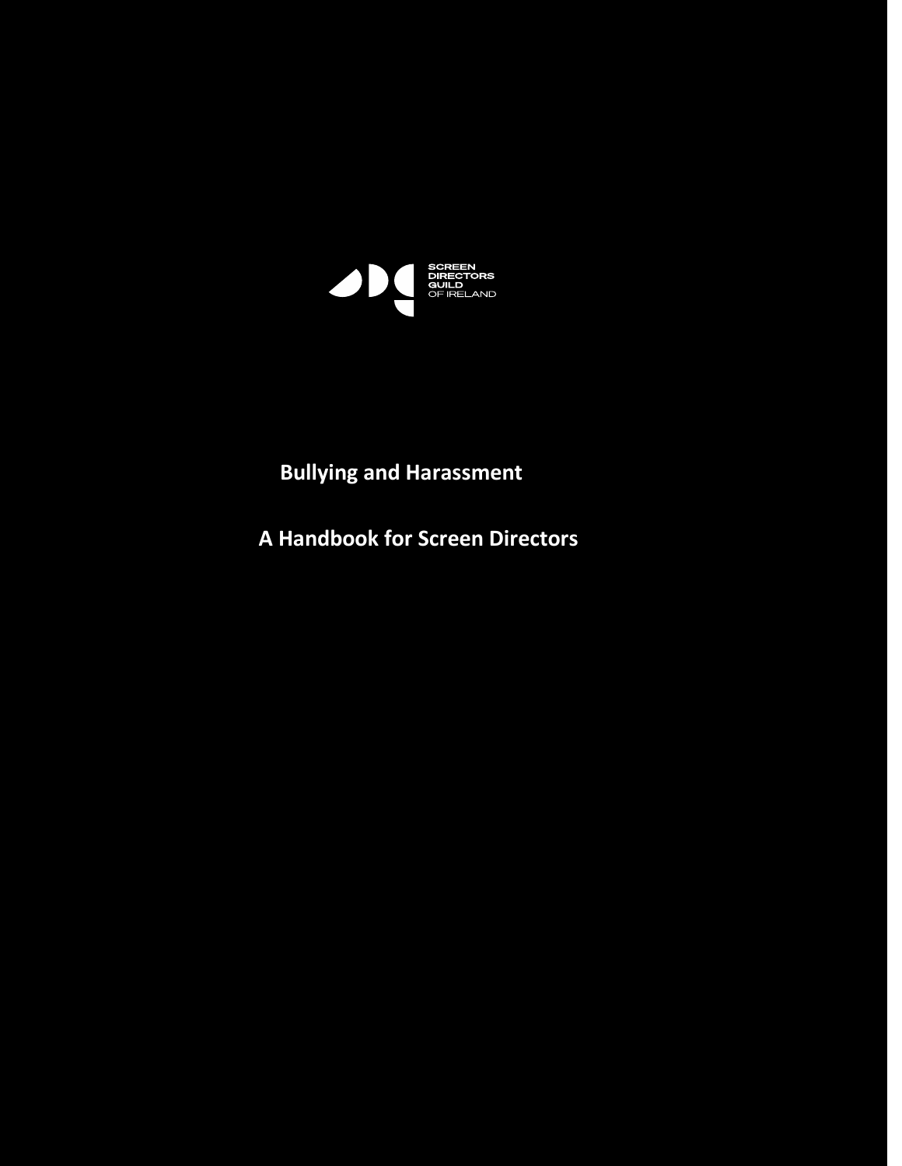

# **Bullying and Harassment**

**A Handbook for Screen Directors**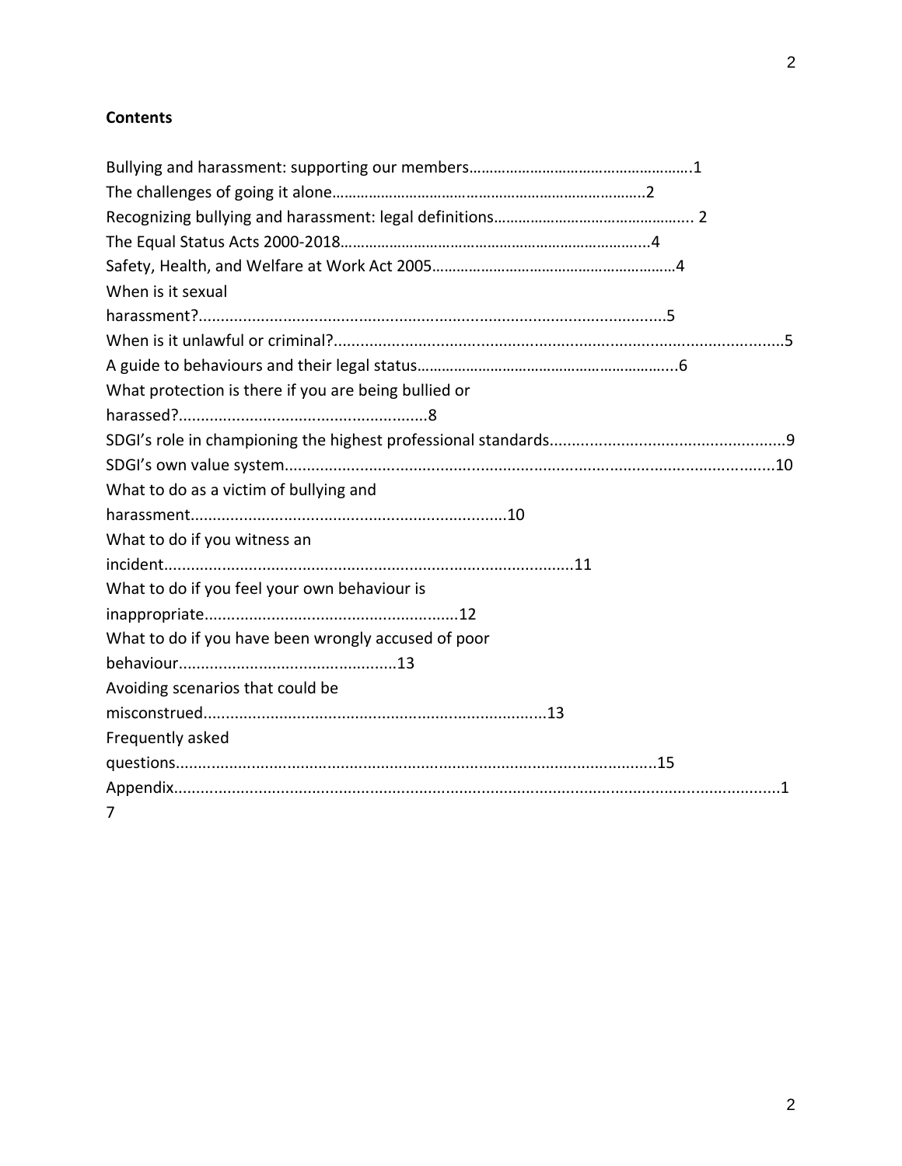# **Contents**

| When is it sexual                                    |
|------------------------------------------------------|
|                                                      |
|                                                      |
|                                                      |
| What protection is there if you are being bullied or |
|                                                      |
|                                                      |
|                                                      |
| What to do as a victim of bullying and               |
|                                                      |
| What to do if you witness an                         |
|                                                      |
| What to do if you feel your own behaviour is         |
|                                                      |
| What to do if you have been wrongly accused of poor  |
|                                                      |
| Avoiding scenarios that could be                     |
|                                                      |
| Frequently asked                                     |
|                                                      |
|                                                      |
| 7                                                    |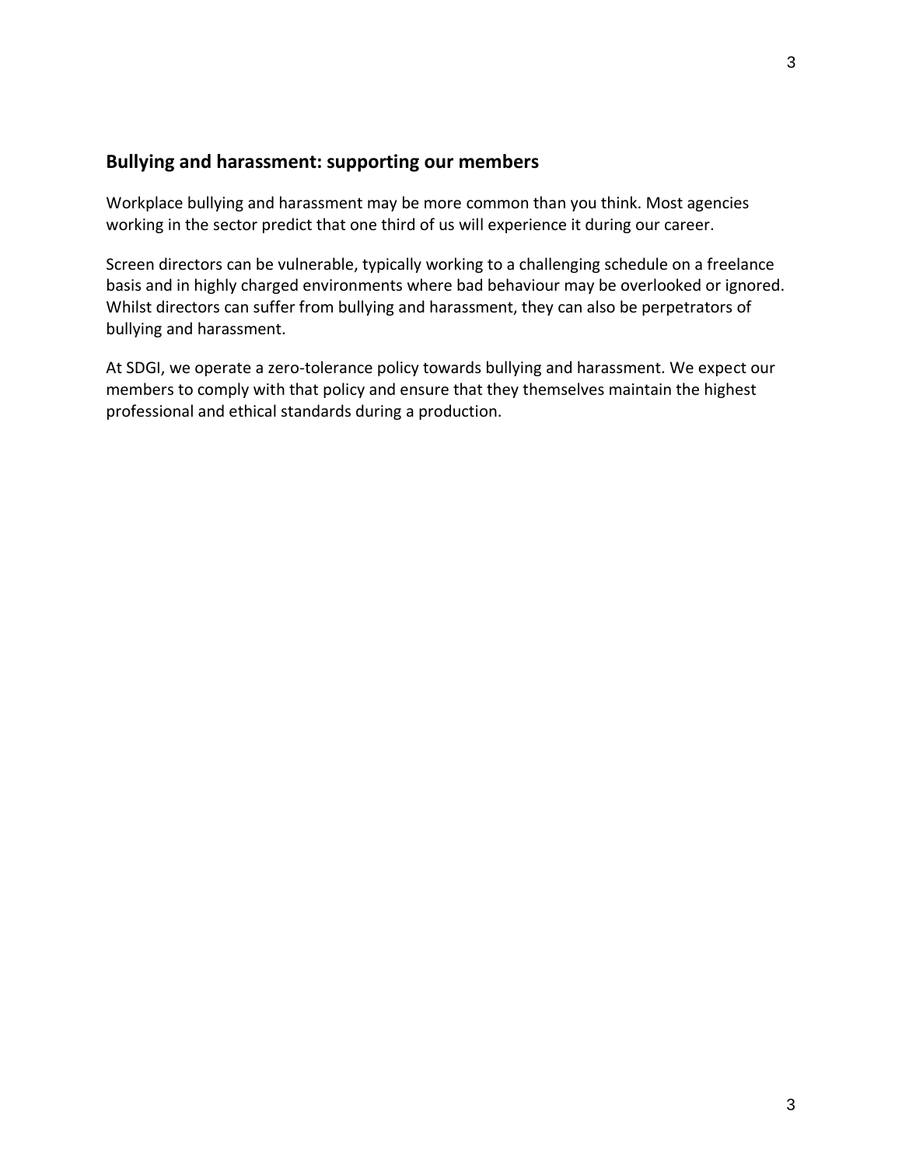## **Bullying and harassment: supporting our members**

Workplace bullying and harassment may be more common than you think. Most agencies working in the sector predict that one third of us will experience it during our career.

Screen directors can be vulnerable, typically working to a challenging schedule on a freelance basis and in highly charged environments where bad behaviour may be overlooked or ignored. Whilst directors can suffer from bullying and harassment, they can also be perpetrators of bullying and harassment.

At SDGI, we operate a zero-tolerance policy towards bullying and harassment. We expect our members to comply with that policy and ensure that they themselves maintain the highest professional and ethical standards during a production.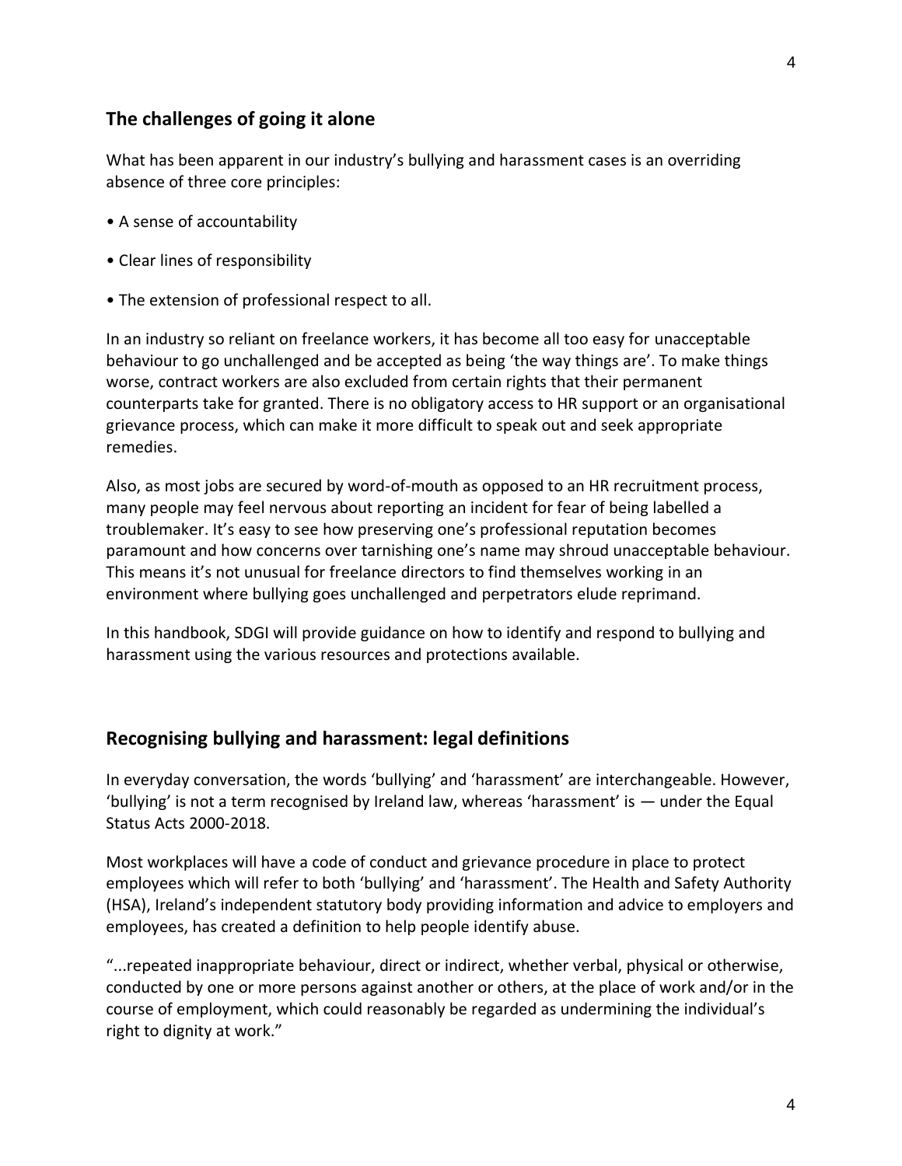#### **The challenges of going it alone**

What has been apparent in our industry's bullying and harassment cases is an overriding absence of three core principles:

- A sense of accountability
- Clear lines of responsibility
- The extension of professional respect to all.

In an industry so reliant on freelance workers, it has become all too easy for unacceptable behaviour to go unchallenged and be accepted as being 'the way things are'. To make things worse, contract workers are also excluded from certain rights that their permanent counterparts take for granted. There is no obligatory access to HR support or an organisational grievance process, which can make it more difficult to speak out and seek appropriate remedies.

Also, as most jobs are secured by word-of-mouth as opposed to an HR recruitment process, many people may feel nervous about reporting an incident for fear of being labelled a troublemaker. It's easy to see how preserving one's professional reputation becomes paramount and how concerns over tarnishing one's name may shroud unacceptable behaviour. This means it's not unusual for freelance directors to find themselves working in an environment where bullying goes unchallenged and perpetrators elude reprimand.

In this handbook, SDGI will provide guidance on how to identify and respond to bullying and harassment using the various resources and protections available.

#### **Recognising bullying and harassment: legal definitions**

In everyday conversation, the words 'bullying' and 'harassment' are interchangeable. However, 'bullying' is not a term recognised by Ireland law, whereas 'harassment' is — under the Equal Status Acts 2000-2018.

Most workplaces will have a code of conduct and grievance procedure in place to protect employees which will refer to both 'bullying' and 'harassment'. The Health and Safety Authority (HSA), Ireland's independent statutory body providing information and advice to employers and employees, has created a definition to help people identify abuse.

"...repeated inappropriate behaviour, direct or indirect, whether verbal, physical or otherwise, conducted by one or more persons against another or others, at the place of work and/or in the course of employment, which could reasonably be regarded as undermining the individual's right to dignity at work."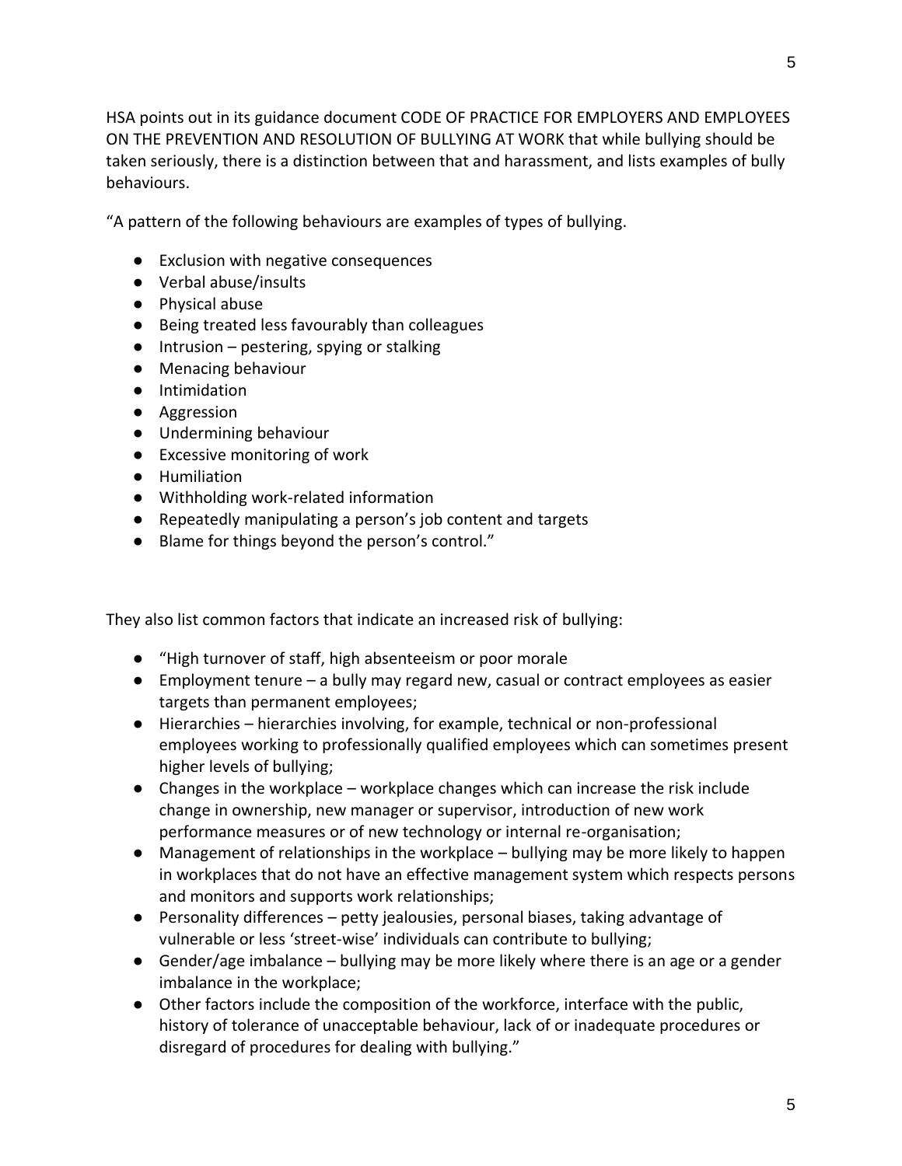HSA points out in its guidance document CODE OF PRACTICE FOR EMPLOYERS AND EMPLOYEES ON THE PREVENTION AND RESOLUTION OF BULLYING AT WORK that while bullying should be taken seriously, there is a distinction between that and harassment, and lists examples of bully behaviours.

"A pattern of the following behaviours are examples of types of bullying.

- Exclusion with negative consequences
- Verbal abuse/insults
- Physical abuse
- Being treated less favourably than colleagues
- $\bullet$  Intrusion pestering, spying or stalking
- Menacing behaviour
- Intimidation
- Aggression
- Undermining behaviour
- Excessive monitoring of work
- Humiliation
- Withholding work-related information
- Repeatedly manipulating a person's job content and targets
- Blame for things beyond the person's control."

They also list common factors that indicate an increased risk of bullying:

- "High turnover of staff, high absenteeism or poor morale
- Employment tenure a bully may regard new, casual or contract employees as easier targets than permanent employees;
- Hierarchies hierarchies involving, for example, technical or non-professional employees working to professionally qualified employees which can sometimes present higher levels of bullying;
- Changes in the workplace workplace changes which can increase the risk include change in ownership, new manager or supervisor, introduction of new work performance measures or of new technology or internal re-organisation;
- Management of relationships in the workplace bullying may be more likely to happen in workplaces that do not have an effective management system which respects persons and monitors and supports work relationships;
- Personality differences petty jealousies, personal biases, taking advantage of vulnerable or less 'street-wise' individuals can contribute to bullying;
- $\bullet$  Gender/age imbalance bullying may be more likely where there is an age or a gender imbalance in the workplace;
- Other factors include the composition of the workforce, interface with the public, history of tolerance of unacceptable behaviour, lack of or inadequate procedures or disregard of procedures for dealing with bullying."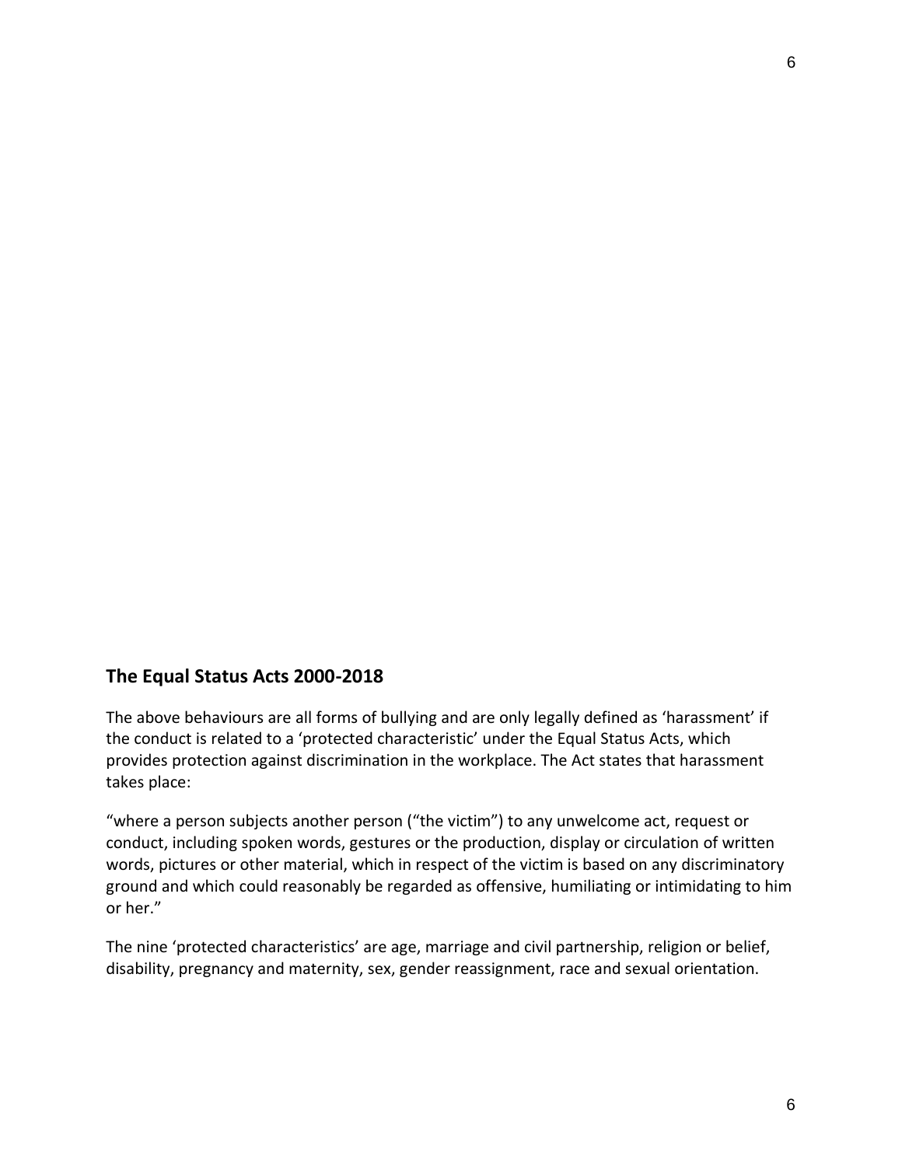## **The Equal Status Acts 2000-2018**

The above behaviours are all forms of bullying and are only legally defined as 'harassment' if the conduct is related to a 'protected characteristic' under the Equal Status Acts, which provides protection against discrimination in the workplace. The Act states that harassment takes place:

"where a person subjects another person ("the victim") to any unwelcome act, request or conduct, including spoken words, gestures or the production, display or circulation of written words, pictures or other material, which in respect of the victim is based on any discriminatory ground and which could reasonably be regarded as offensive, humiliating or intimidating to him or her."

The nine 'protected characteristics' are age, marriage and civil partnership, religion or belief, disability, pregnancy and maternity, sex, gender reassignment, race and sexual orientation.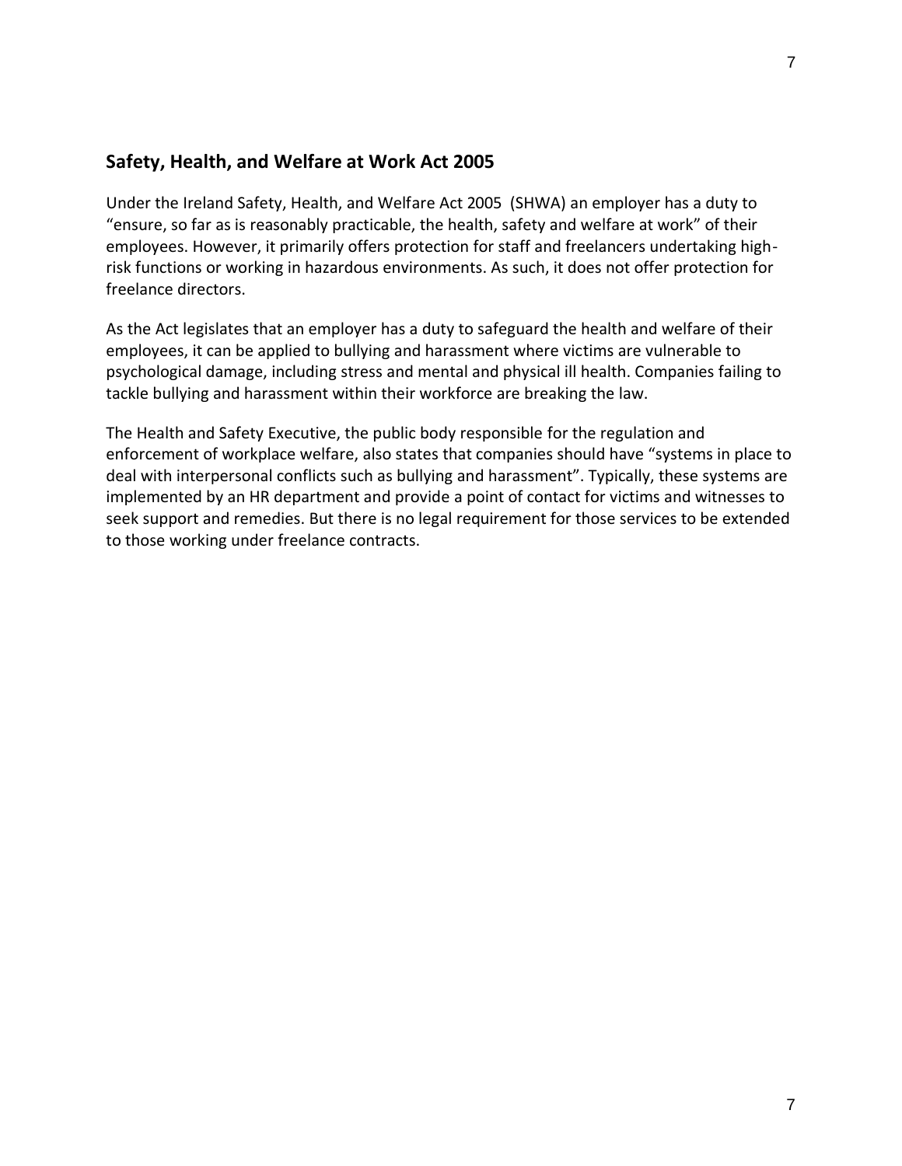## **Safety, Health, and Welfare at Work Act 2005**

Under the Ireland Safety, Health, and Welfare Act 2005 (SHWA) an employer has a duty to "ensure, so far as is reasonably practicable, the health, safety and welfare at work" of their employees. However, it primarily offers protection for staff and freelancers undertaking highrisk functions or working in hazardous environments. As such, it does not offer protection for freelance directors.

As the Act legislates that an employer has a duty to safeguard the health and welfare of their employees, it can be applied to bullying and harassment where victims are vulnerable to psychological damage, including stress and mental and physical ill health. Companies failing to tackle bullying and harassment within their workforce are breaking the law.

The Health and Safety Executive, the public body responsible for the regulation and enforcement of workplace welfare, also states that companies should have "systems in place to deal with interpersonal conflicts such as bullying and harassment". Typically, these systems are implemented by an HR department and provide a point of contact for victims and witnesses to seek support and remedies. But there is no legal requirement for those services to be extended to those working under freelance contracts.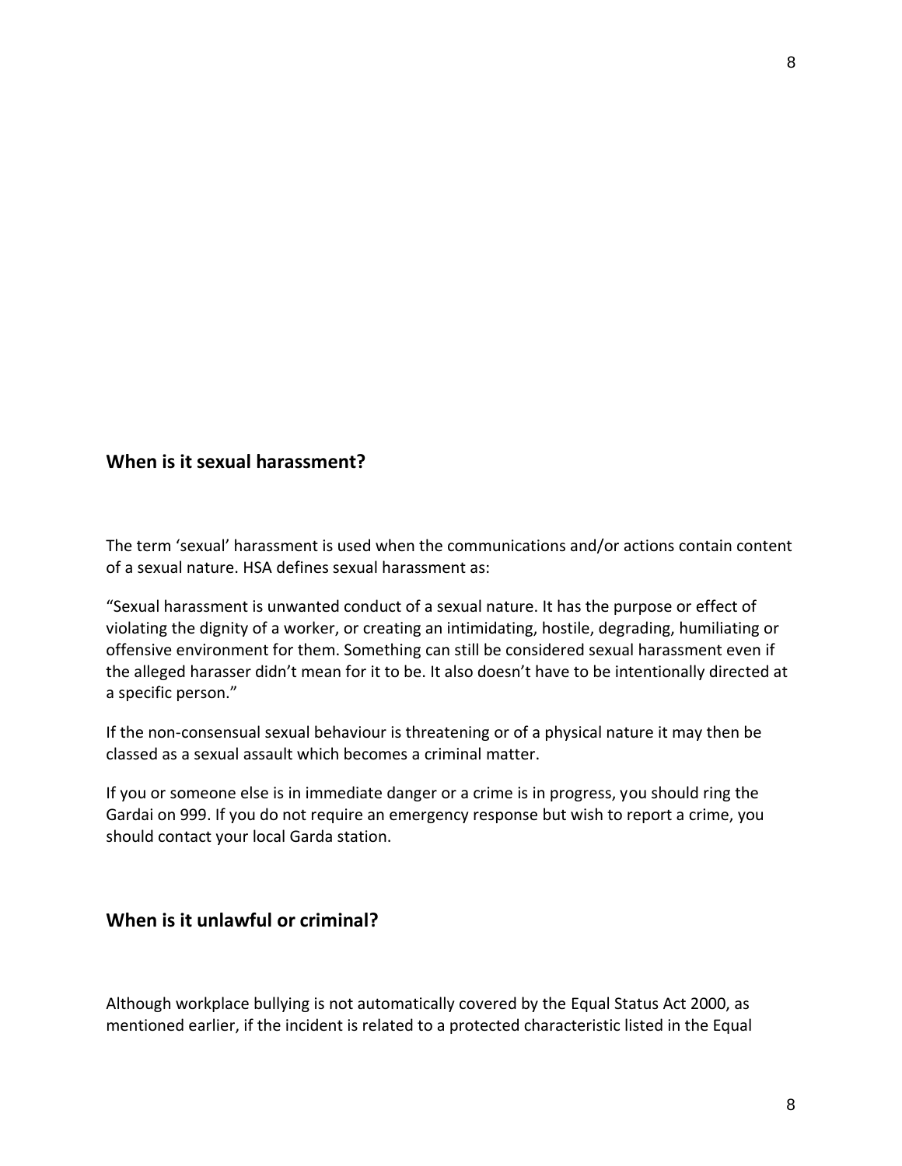8

## **When is it sexual harassment?**

The term 'sexual' harassment is used when the communications and/or actions contain content of a sexual nature. HSA defines sexual harassment as:

"Sexual harassment is unwanted conduct of a sexual nature. It has the purpose or effect of violating the dignity of a worker, or creating an intimidating, hostile, degrading, humiliating or offensive environment for them. Something can still be considered sexual harassment even if the alleged harasser didn't mean for it to be. It also doesn't have to be intentionally directed at a specific person."

If the non-consensual sexual behaviour is threatening or of a physical nature it may then be classed as a sexual assault which becomes a criminal matter.

If you or someone else is in immediate danger or a crime is in progress, you should ring the Gardai on 999. If you do not require an emergency response but wish to report a crime, you should contact your local Garda station.

#### **When is it unlawful or criminal?**

Although workplace bullying is not automatically covered by the Equal Status Act 2000, as mentioned earlier, if the incident is related to a protected characteristic listed in the Equal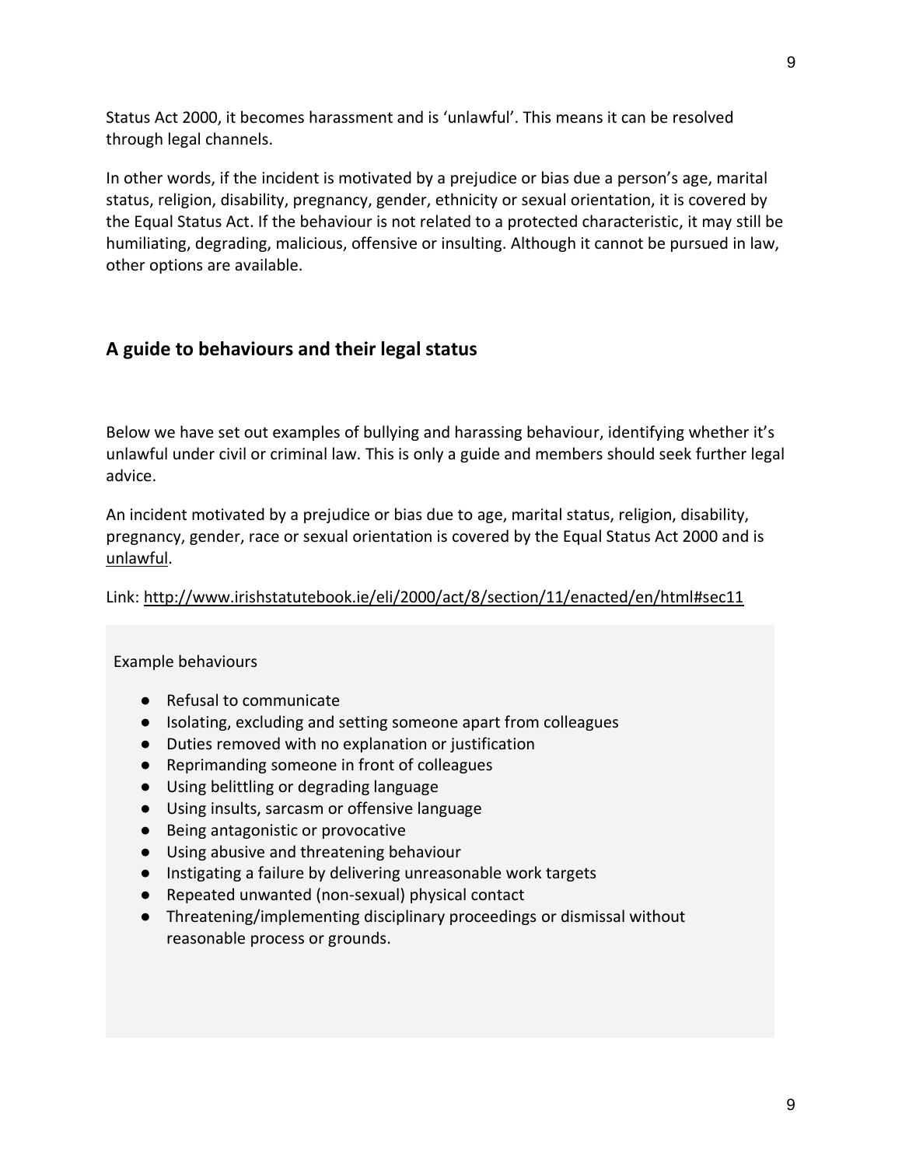Status Act 2000, it becomes harassment and is 'unlawful'. This means it can be resolved through legal channels.

In other words, if the incident is motivated by a prejudice or bias due a person's age, marital status, religion, disability, pregnancy, gender, ethnicity or sexual orientation, it is covered by the Equal Status Act. If the behaviour is not related to a protected characteristic, it may still be humiliating, degrading, malicious, offensive or insulting. Although it cannot be pursued in law, other options are available.

# **A guide to behaviours and their legal status**

Below we have set out examples of bullying and harassing behaviour, identifying whether it's unlawful under civil or criminal law. This is only a guide and members should seek further legal advice.

An incident motivated by a prejudice or bias due to age, marital status, religion, disability, pregnancy, gender, race or sexual orientation is covered by the Equal Status Act 2000 and is unlawful.

Link:<http://www.irishstatutebook.ie/eli/2000/act/8/section/11/enacted/en/html#sec11>

Example behaviours

- Refusal to communicate
- Isolating, excluding and setting someone apart from colleagues
- Duties removed with no explanation or justification
- Reprimanding someone in front of colleagues
- Using belittling or degrading language
- Using insults, sarcasm or offensive language
- Being antagonistic or provocative
- Using abusive and threatening behaviour
- Instigating a failure by delivering unreasonable work targets
- Repeated unwanted (non-sexual) physical contact
- Threatening/implementing disciplinary proceedings or dismissal without reasonable process or grounds.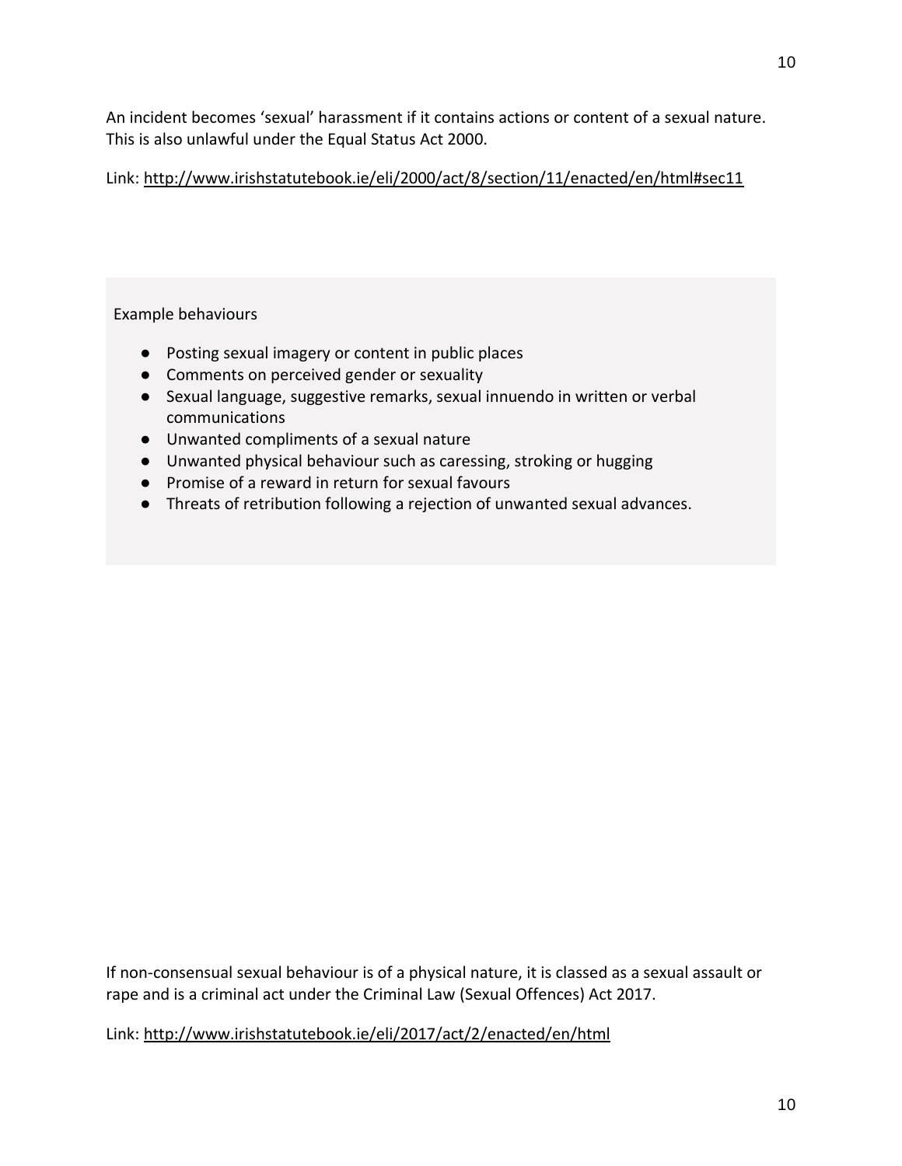An incident becomes 'sexual' harassment if it contains actions or content of a sexual nature. This is also unlawful under the Equal Status Act 2000.

Link:<http://www.irishstatutebook.ie/eli/2000/act/8/section/11/enacted/en/html#sec11>

#### Example behaviours

- Posting sexual imagery or content in public places
- Comments on perceived gender or sexuality
- Sexual language, suggestive remarks, sexual innuendo in written or verbal communications
- Unwanted compliments of a sexual nature
- Unwanted physical behaviour such as caressing, stroking or hugging
- Promise of a reward in return for sexual favours
- Threats of retribution following a rejection of unwanted sexual advances.

If non-consensual sexual behaviour is of a physical nature, it is classed as a sexual assault or rape and is a criminal act under the Criminal Law (Sexual Offences) Act 2017.

Link:<http://www.irishstatutebook.ie/eli/2017/act/2/enacted/en/html>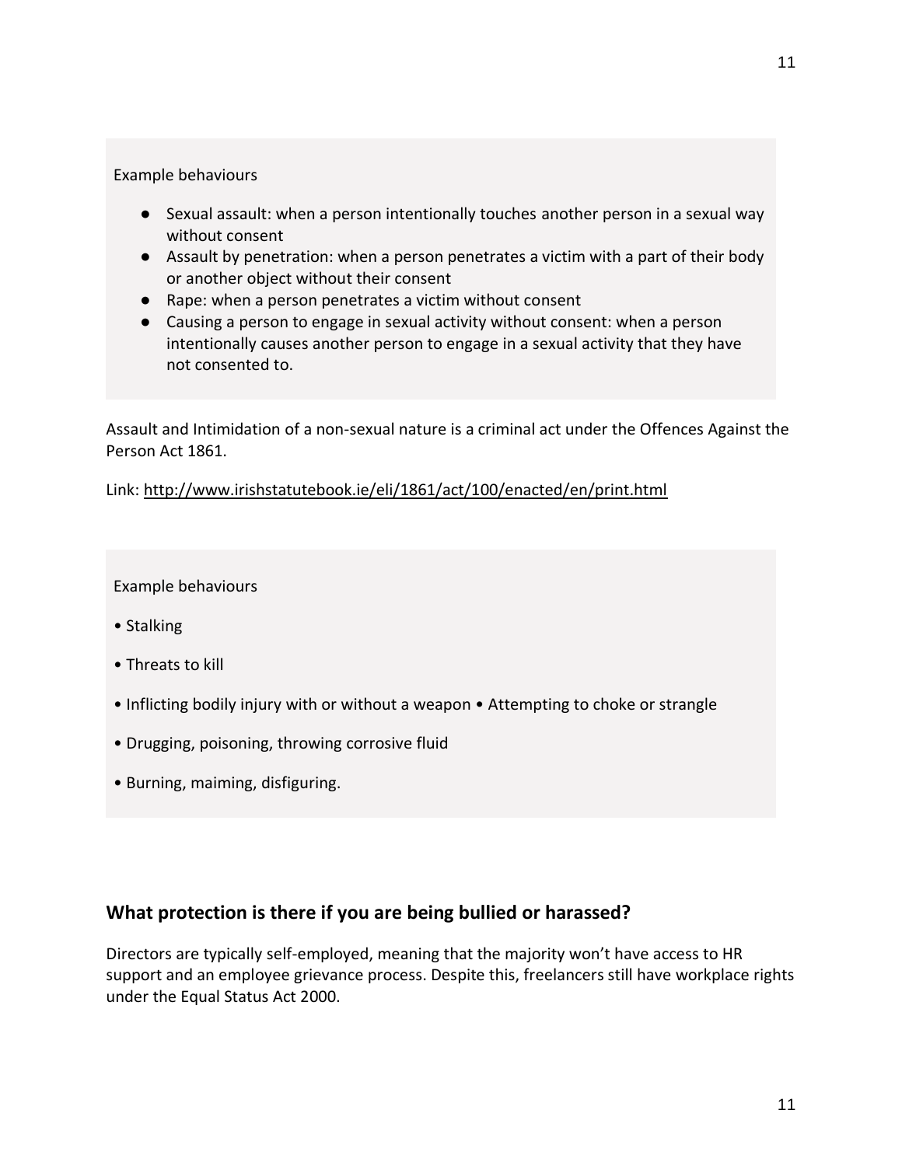#### Example behaviours

- Sexual assault: when a person intentionally touches another person in a sexual way without consent
- Assault by penetration: when a person penetrates a victim with a part of their body or another object without their consent
- Rape: when a person penetrates a victim without consent
- Causing a person to engage in sexual activity without consent: when a person intentionally causes another person to engage in a sexual activity that they have not consented to.

Assault and Intimidation of a non-sexual nature is a criminal act under the Offences Against the Person Act 1861.

Link:<http://www.irishstatutebook.ie/eli/1861/act/100/enacted/en/print.html>

#### Example behaviours

- Stalking
- Threats to kill
- Inflicting bodily injury with or without a weapon Attempting to choke or strangle
- Drugging, poisoning, throwing corrosive fluid
- Burning, maiming, disfiguring.

# **What protection is there if you are being bullied or harassed?**

Directors are typically self-employed, meaning that the majority won't have access to HR support and an employee grievance process. Despite this, freelancers still have workplace rights under the Equal Status Act 2000.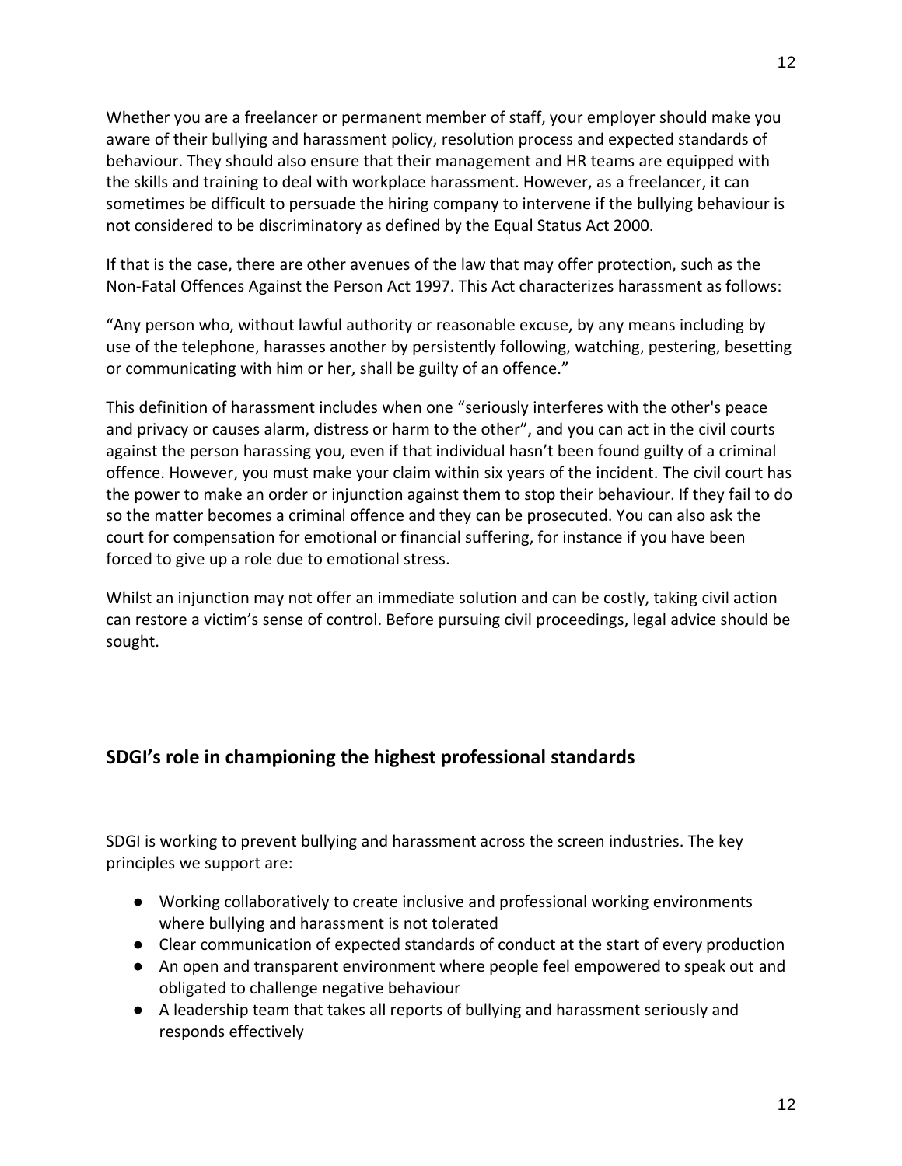Whether you are a freelancer or permanent member of staff, your employer should make you aware of their bullying and harassment policy, resolution process and expected standards of behaviour. They should also ensure that their management and HR teams are equipped with the skills and training to deal with workplace harassment. However, as a freelancer, it can sometimes be difficult to persuade the hiring company to intervene if the bullying behaviour is not considered to be discriminatory as defined by the Equal Status Act 2000.

If that is the case, there are other avenues of the law that may offer protection, such as the Non-Fatal Offences Against the Person Act 1997. This Act characterizes harassment as follows:

"Any person who, without lawful authority or reasonable excuse, by any means including by use of the telephone, harasses another by persistently following, watching, pestering, besetting or communicating with him or her, shall be guilty of an offence."

This definition of harassment includes when one "seriously interferes with the other's peace and privacy or causes alarm, distress or harm to the other", and you can act in the civil courts against the person harassing you, even if that individual hasn't been found guilty of a criminal offence. However, you must make your claim within six years of the incident. The civil court has the power to make an order or injunction against them to stop their behaviour. If they fail to do so the matter becomes a criminal offence and they can be prosecuted. You can also ask the court for compensation for emotional or financial suffering, for instance if you have been forced to give up a role due to emotional stress.

Whilst an injunction may not offer an immediate solution and can be costly, taking civil action can restore a victim's sense of control. Before pursuing civil proceedings, legal advice should be sought.

# **SDGI's role in championing the highest professional standards**

SDGI is working to prevent bullying and harassment across the screen industries. The key principles we support are:

- Working collaboratively to create inclusive and professional working environments where bullying and harassment is not tolerated
- Clear communication of expected standards of conduct at the start of every production
- An open and transparent environment where people feel empowered to speak out and obligated to challenge negative behaviour
- A leadership team that takes all reports of bullying and harassment seriously and responds effectively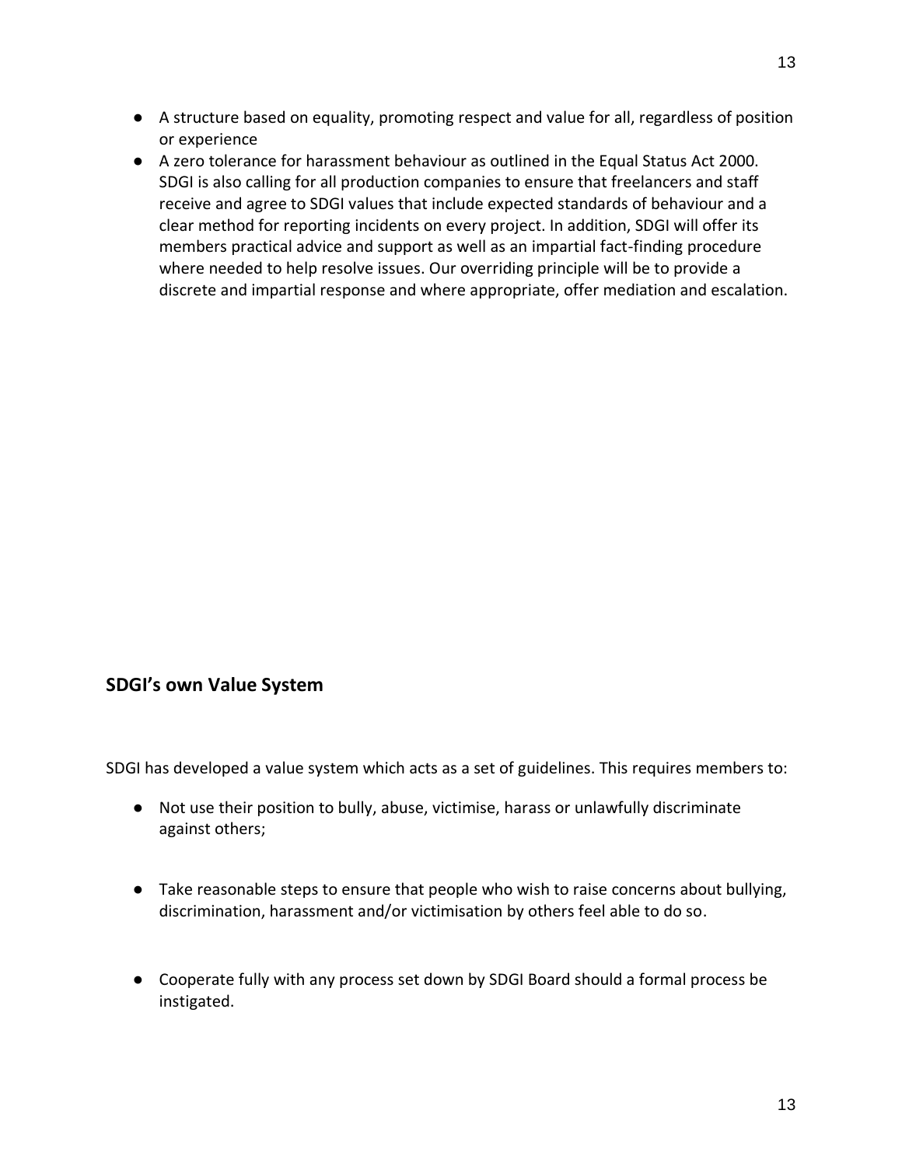- A structure based on equality, promoting respect and value for all, regardless of position or experience
- A zero tolerance for harassment behaviour as outlined in the Equal Status Act 2000. SDGI is also calling for all production companies to ensure that freelancers and staff receive and agree to SDGI values that include expected standards of behaviour and a clear method for reporting incidents on every project. In addition, SDGI will offer its members practical advice and support as well as an impartial fact-finding procedure where needed to help resolve issues. Our overriding principle will be to provide a discrete and impartial response and where appropriate, offer mediation and escalation.

## **SDGI's own Value System**

SDGI has developed a value system which acts as a set of guidelines. This requires members to:

- Not use their position to bully, abuse, victimise, harass or unlawfully discriminate against others;
- Take reasonable steps to ensure that people who wish to raise concerns about bullying, discrimination, harassment and/or victimisation by others feel able to do so.
- Cooperate fully with any process set down by SDGI Board should a formal process be instigated.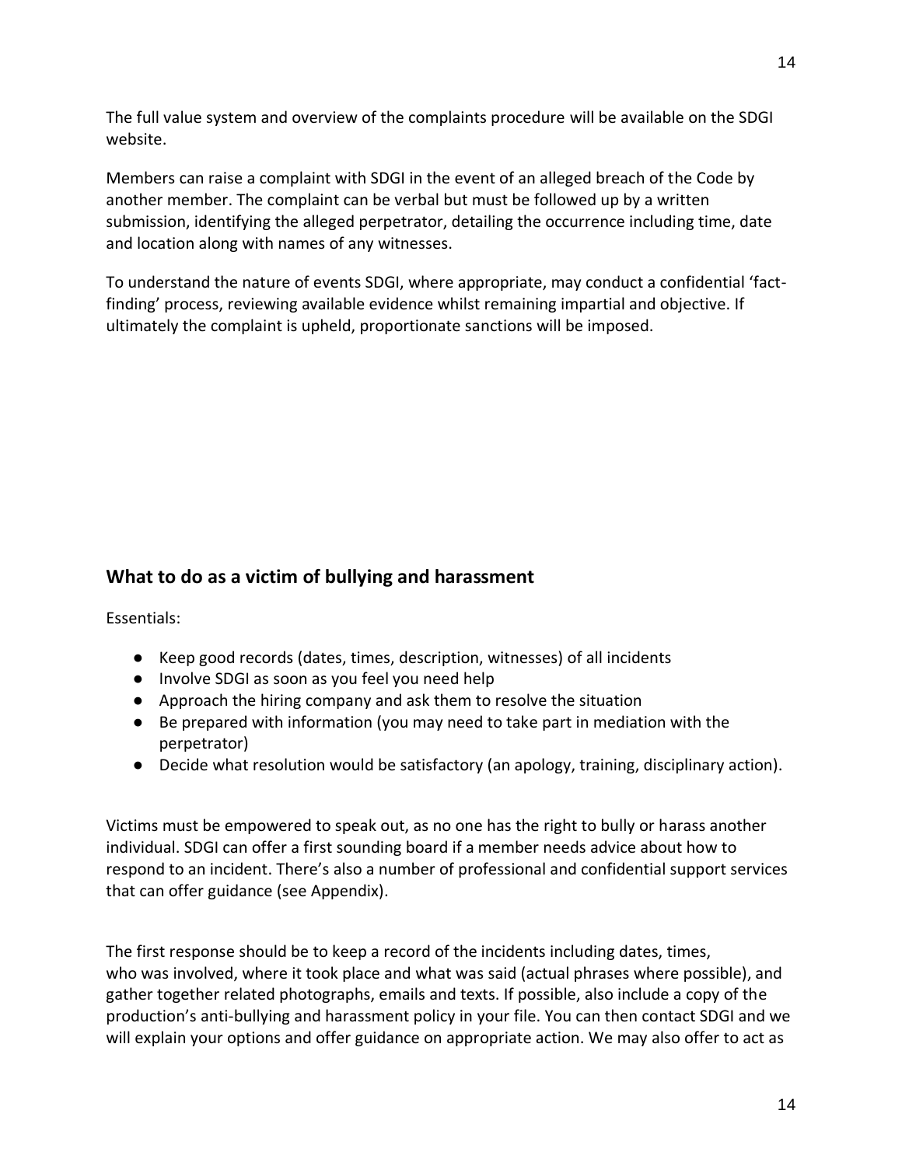The full value system and overview of the complaints procedure will be available on the SDGI website.

Members can raise a complaint with SDGI in the event of an alleged breach of the Code by another member. The complaint can be verbal but must be followed up by a written submission, identifying the alleged perpetrator, detailing the occurrence including time, date and location along with names of any witnesses.

To understand the nature of events SDGI, where appropriate, may conduct a confidential 'factfinding' process, reviewing available evidence whilst remaining impartial and objective. If ultimately the complaint is upheld, proportionate sanctions will be imposed.

# **What to do as a victim of bullying and harassment**

Essentials:

- Keep good records (dates, times, description, witnesses) of all incidents
- Involve SDGI as soon as you feel you need help
- Approach the hiring company and ask them to resolve the situation
- Be prepared with information (you may need to take part in mediation with the perpetrator)
- Decide what resolution would be satisfactory (an apology, training, disciplinary action).

Victims must be empowered to speak out, as no one has the right to bully or harass another individual. SDGI can offer a first sounding board if a member needs advice about how to respond to an incident. There's also a number of professional and confidential support services that can offer guidance (see Appendix).

The first response should be to keep a record of the incidents including dates, times, who was involved, where it took place and what was said (actual phrases where possible), and gather together related photographs, emails and texts. If possible, also include a copy of the production's anti-bullying and harassment policy in your file. You can then contact SDGI and we will explain your options and offer guidance on appropriate action. We may also offer to act as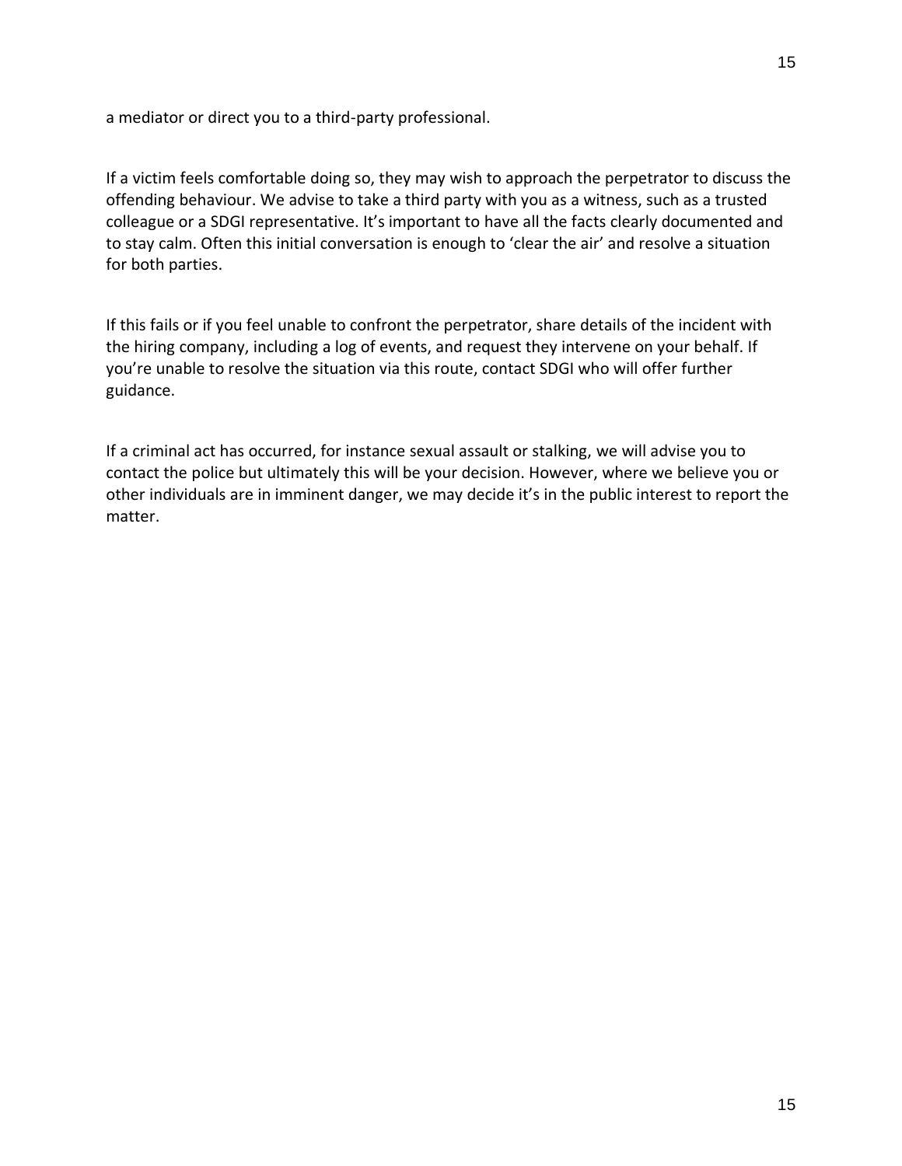a mediator or direct you to a third-party professional.

If a victim feels comfortable doing so, they may wish to approach the perpetrator to discuss the offending behaviour. We advise to take a third party with you as a witness, such as a trusted colleague or a SDGI representative. It's important to have all the facts clearly documented and to stay calm. Often this initial conversation is enough to 'clear the air' and resolve a situation for both parties.

If this fails or if you feel unable to confront the perpetrator, share details of the incident with the hiring company, including a log of events, and request they intervene on your behalf. If you're unable to resolve the situation via this route, contact SDGI who will offer further guidance.

If a criminal act has occurred, for instance sexual assault or stalking, we will advise you to contact the police but ultimately this will be your decision. However, where we believe you or other individuals are in imminent danger, we may decide it's in the public interest to report the matter.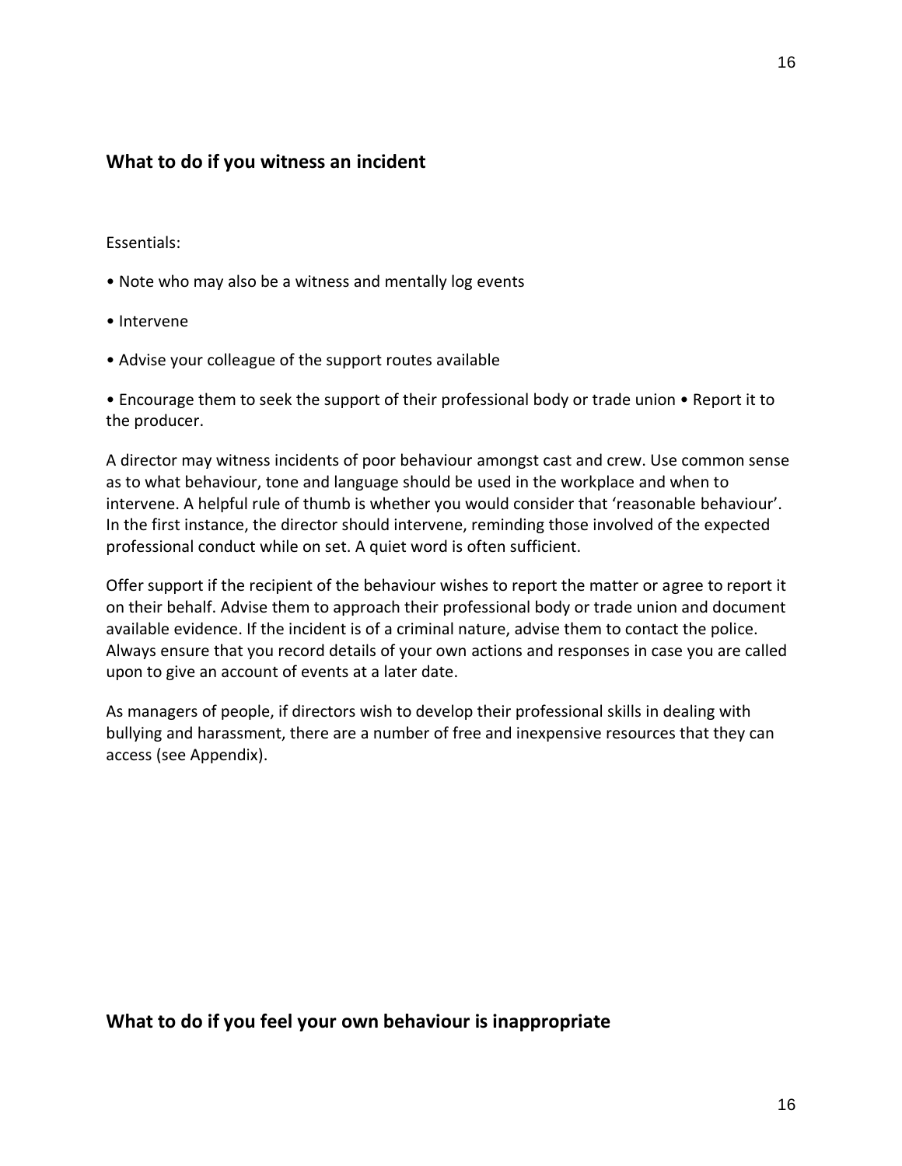## **What to do if you witness an incident**

#### Essentials:

- Note who may also be a witness and mentally log events
- Intervene
- Advise your colleague of the support routes available

• Encourage them to seek the support of their professional body or trade union • Report it to the producer.

A director may witness incidents of poor behaviour amongst cast and crew. Use common sense as to what behaviour, tone and language should be used in the workplace and when to intervene. A helpful rule of thumb is whether you would consider that 'reasonable behaviour'. In the first instance, the director should intervene, reminding those involved of the expected professional conduct while on set. A quiet word is often sufficient.

Offer support if the recipient of the behaviour wishes to report the matter or agree to report it on their behalf. Advise them to approach their professional body or trade union and document available evidence. If the incident is of a criminal nature, advise them to contact the police. Always ensure that you record details of your own actions and responses in case you are called upon to give an account of events at a later date.

As managers of people, if directors wish to develop their professional skills in dealing with bullying and harassment, there are a number of free and inexpensive resources that they can access (see Appendix).

#### **What to do if you feel your own behaviour is inappropriate**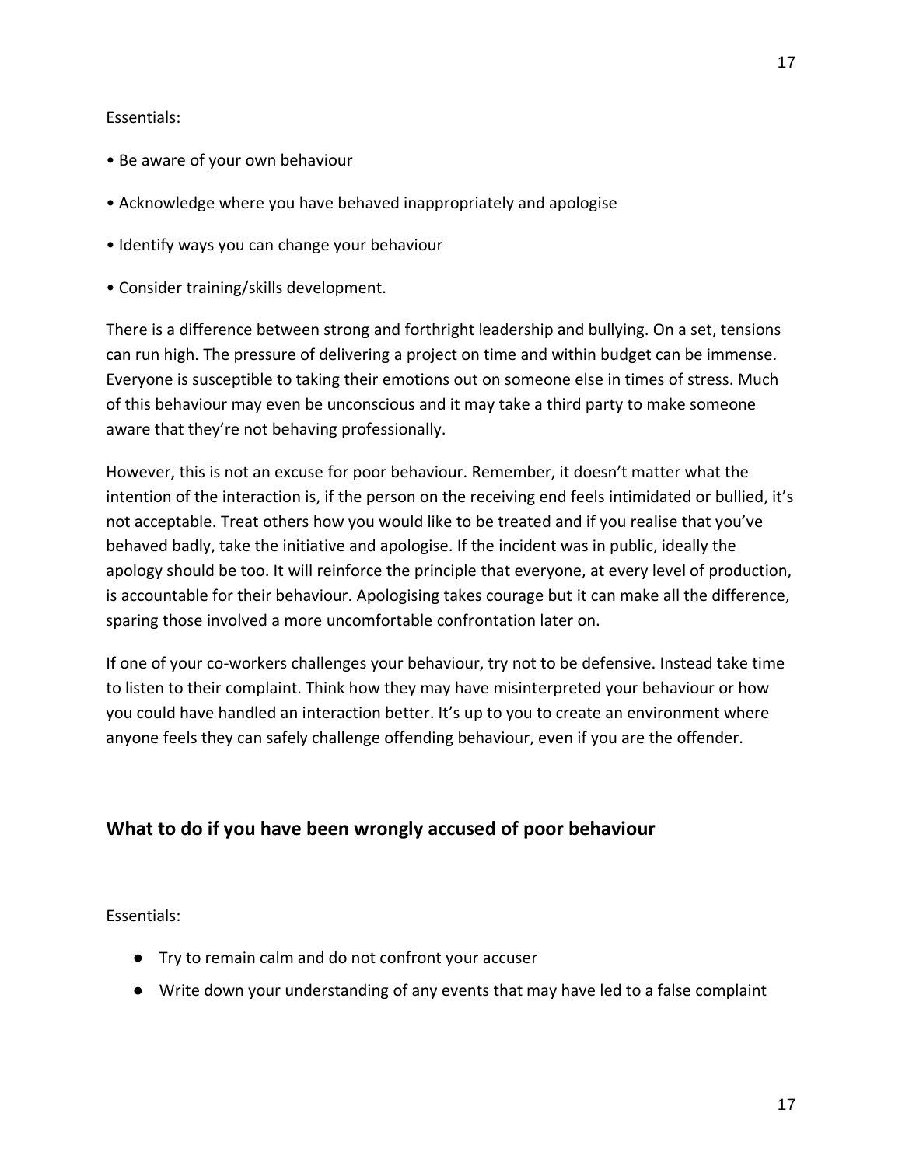#### Essentials:

- Be aware of your own behaviour
- Acknowledge where you have behaved inappropriately and apologise
- Identify ways you can change your behaviour
- Consider training/skills development.

There is a difference between strong and forthright leadership and bullying. On a set, tensions can run high. The pressure of delivering a project on time and within budget can be immense. Everyone is susceptible to taking their emotions out on someone else in times of stress. Much of this behaviour may even be unconscious and it may take a third party to make someone aware that they're not behaving professionally.

However, this is not an excuse for poor behaviour. Remember, it doesn't matter what the intention of the interaction is, if the person on the receiving end feels intimidated or bullied, it's not acceptable. Treat others how you would like to be treated and if you realise that you've behaved badly, take the initiative and apologise. If the incident was in public, ideally the apology should be too. It will reinforce the principle that everyone, at every level of production, is accountable for their behaviour. Apologising takes courage but it can make all the difference, sparing those involved a more uncomfortable confrontation later on.

If one of your co-workers challenges your behaviour, try not to be defensive. Instead take time to listen to their complaint. Think how they may have misinterpreted your behaviour or how you could have handled an interaction better. It's up to you to create an environment where anyone feels they can safely challenge offending behaviour, even if you are the offender.

# **What to do if you have been wrongly accused of poor behaviour**

Essentials:

- Try to remain calm and do not confront your accuser
- Write down your understanding of any events that may have led to a false complaint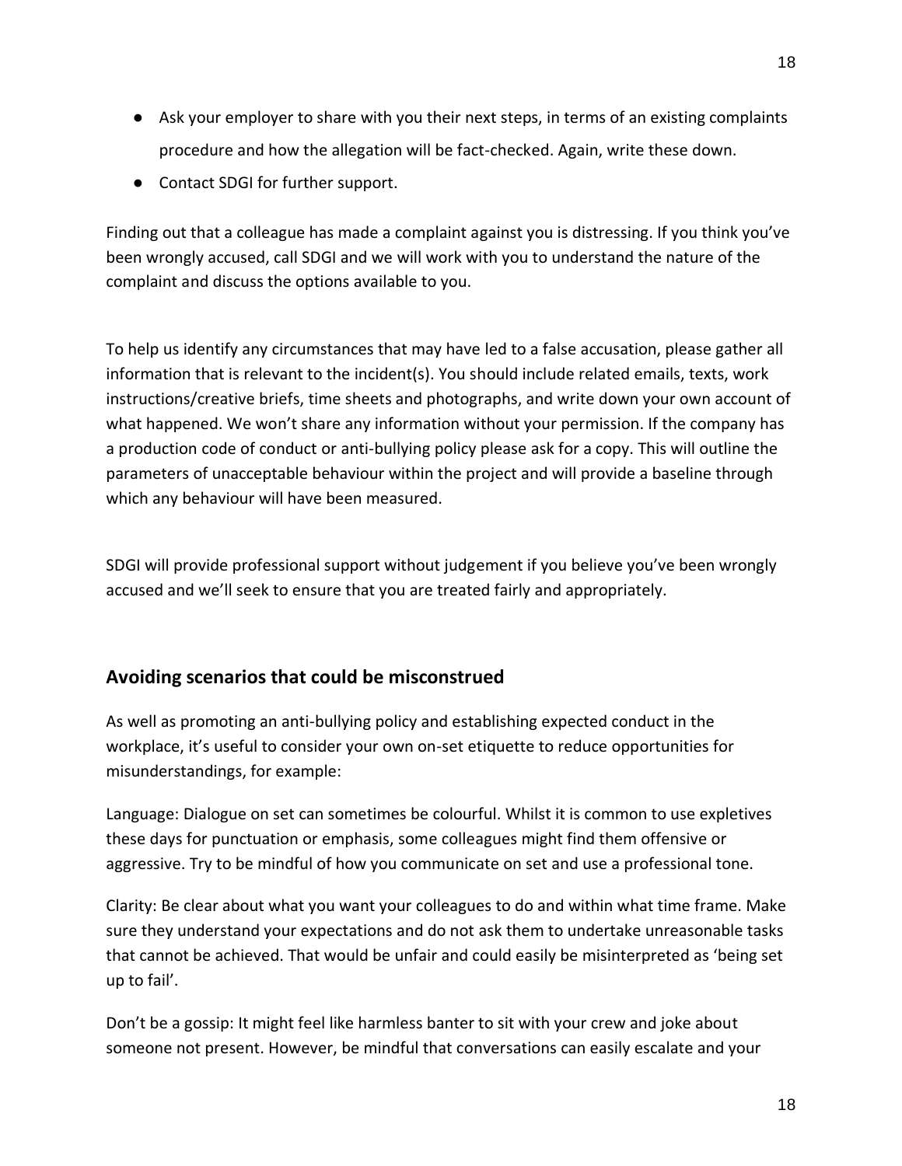- Ask your employer to share with you their next steps, in terms of an existing complaints procedure and how the allegation will be fact-checked. Again, write these down.
- Contact SDGI for further support.

Finding out that a colleague has made a complaint against you is distressing. If you think you've been wrongly accused, call SDGI and we will work with you to understand the nature of the complaint and discuss the options available to you.

To help us identify any circumstances that may have led to a false accusation, please gather all information that is relevant to the incident(s). You should include related emails, texts, work instructions/creative briefs, time sheets and photographs, and write down your own account of what happened. We won't share any information without your permission. If the company has a production code of conduct or anti-bullying policy please ask for a copy. This will outline the parameters of unacceptable behaviour within the project and will provide a baseline through which any behaviour will have been measured.

SDGI will provide professional support without judgement if you believe you've been wrongly accused and we'll seek to ensure that you are treated fairly and appropriately.

# **Avoiding scenarios that could be misconstrued**

As well as promoting an anti-bullying policy and establishing expected conduct in the workplace, it's useful to consider your own on-set etiquette to reduce opportunities for misunderstandings, for example:

Language: Dialogue on set can sometimes be colourful. Whilst it is common to use expletives these days for punctuation or emphasis, some colleagues might find them offensive or aggressive. Try to be mindful of how you communicate on set and use a professional tone.

Clarity: Be clear about what you want your colleagues to do and within what time frame. Make sure they understand your expectations and do not ask them to undertake unreasonable tasks that cannot be achieved. That would be unfair and could easily be misinterpreted as 'being set up to fail'.

Don't be a gossip: It might feel like harmless banter to sit with your crew and joke about someone not present. However, be mindful that conversations can easily escalate and your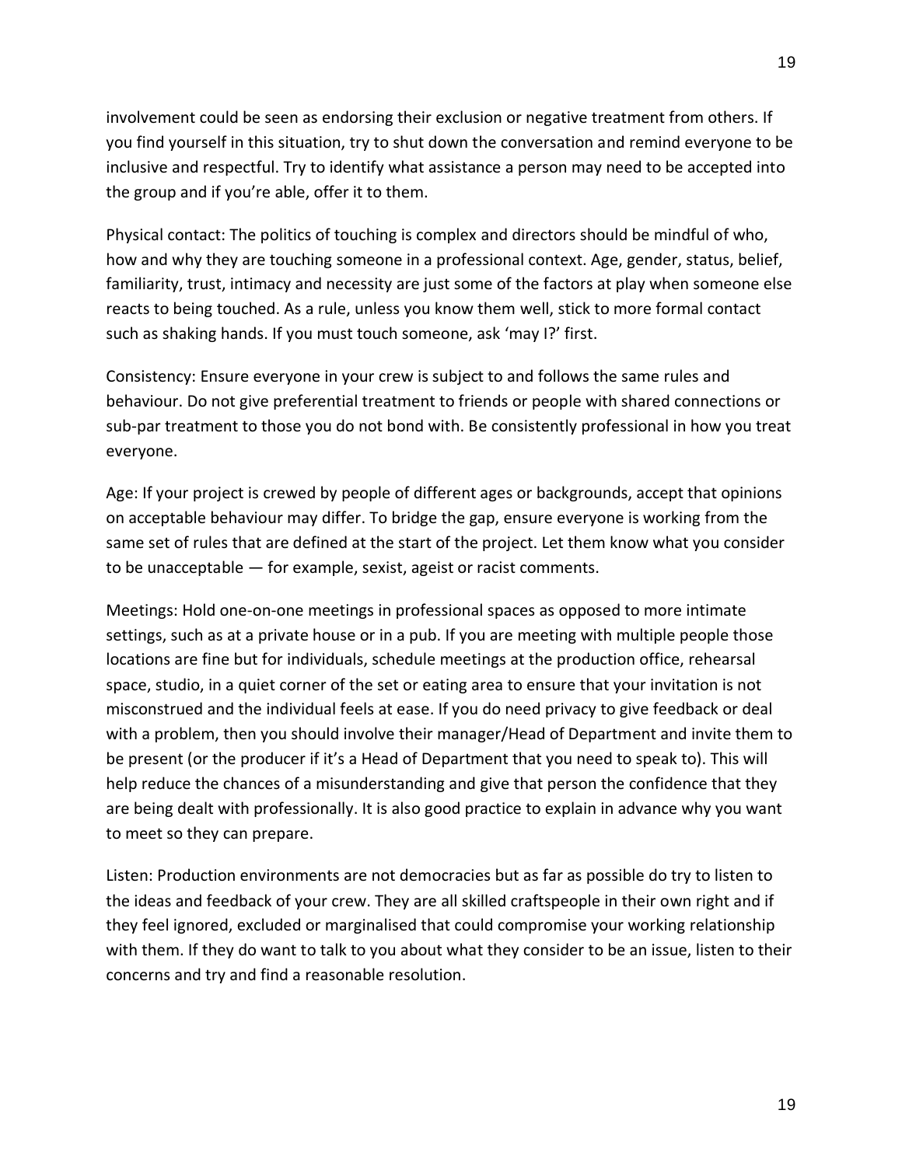involvement could be seen as endorsing their exclusion or negative treatment from others. If you find yourself in this situation, try to shut down the conversation and remind everyone to be inclusive and respectful. Try to identify what assistance a person may need to be accepted into the group and if you're able, offer it to them.

Physical contact: The politics of touching is complex and directors should be mindful of who, how and why they are touching someone in a professional context. Age, gender, status, belief, familiarity, trust, intimacy and necessity are just some of the factors at play when someone else reacts to being touched. As a rule, unless you know them well, stick to more formal contact such as shaking hands. If you must touch someone, ask 'may I?' first.

Consistency: Ensure everyone in your crew is subject to and follows the same rules and behaviour. Do not give preferential treatment to friends or people with shared connections or sub-par treatment to those you do not bond with. Be consistently professional in how you treat everyone.

Age: If your project is crewed by people of different ages or backgrounds, accept that opinions on acceptable behaviour may differ. To bridge the gap, ensure everyone is working from the same set of rules that are defined at the start of the project. Let them know what you consider to be unacceptable — for example, sexist, ageist or racist comments.

Meetings: Hold one-on-one meetings in professional spaces as opposed to more intimate settings, such as at a private house or in a pub. If you are meeting with multiple people those locations are fine but for individuals, schedule meetings at the production office, rehearsal space, studio, in a quiet corner of the set or eating area to ensure that your invitation is not misconstrued and the individual feels at ease. If you do need privacy to give feedback or deal with a problem, then you should involve their manager/Head of Department and invite them to be present (or the producer if it's a Head of Department that you need to speak to). This will help reduce the chances of a misunderstanding and give that person the confidence that they are being dealt with professionally. It is also good practice to explain in advance why you want to meet so they can prepare.

Listen: Production environments are not democracies but as far as possible do try to listen to the ideas and feedback of your crew. They are all skilled craftspeople in their own right and if they feel ignored, excluded or marginalised that could compromise your working relationship with them. If they do want to talk to you about what they consider to be an issue, listen to their concerns and try and find a reasonable resolution.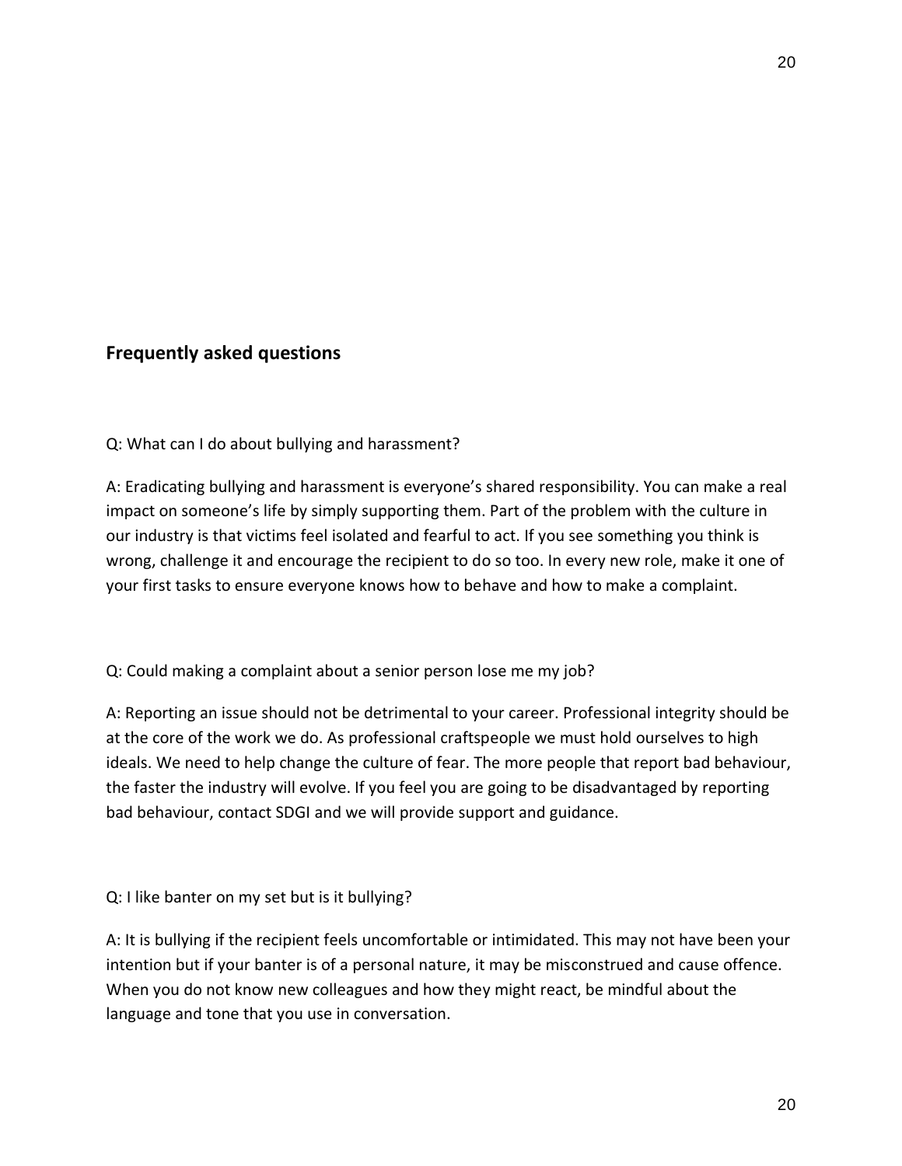# **Frequently asked questions**

Q: What can I do about bullying and harassment?

A: Eradicating bullying and harassment is everyone's shared responsibility. You can make a real impact on someone's life by simply supporting them. Part of the problem with the culture in our industry is that victims feel isolated and fearful to act. If you see something you think is wrong, challenge it and encourage the recipient to do so too. In every new role, make it one of your first tasks to ensure everyone knows how to behave and how to make a complaint.

## Q: Could making a complaint about a senior person lose me my job?

A: Reporting an issue should not be detrimental to your career. Professional integrity should be at the core of the work we do. As professional craftspeople we must hold ourselves to high ideals. We need to help change the culture of fear. The more people that report bad behaviour, the faster the industry will evolve. If you feel you are going to be disadvantaged by reporting bad behaviour, contact SDGI and we will provide support and guidance.

#### Q: I like banter on my set but is it bullying?

A: It is bullying if the recipient feels uncomfortable or intimidated. This may not have been your intention but if your banter is of a personal nature, it may be misconstrued and cause offence. When you do not know new colleagues and how they might react, be mindful about the language and tone that you use in conversation.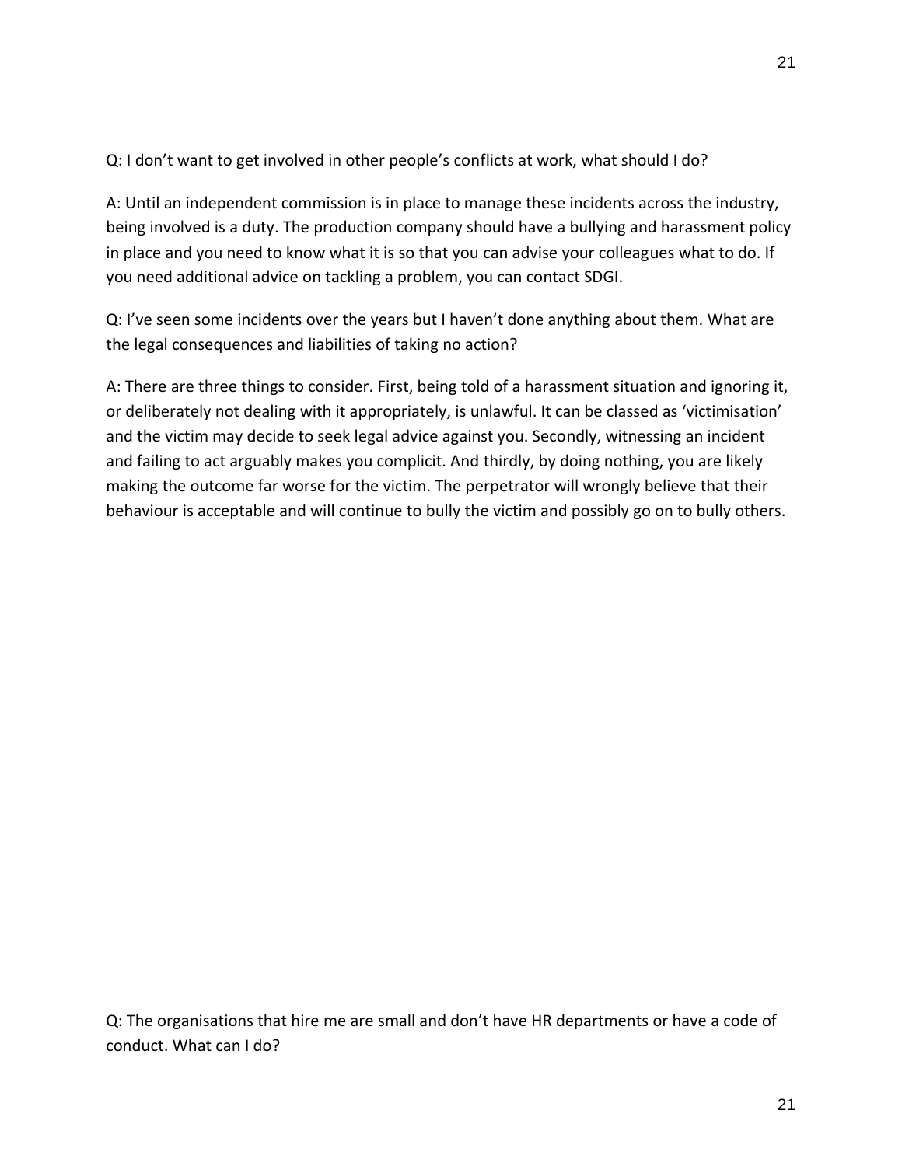Q: I don't want to get involved in other people's conflicts at work, what should I do?

A: Until an independent commission is in place to manage these incidents across the industry, being involved is a duty. The production company should have a bullying and harassment policy in place and you need to know what it is so that you can advise your colleagues what to do. If you need additional advice on tackling a problem, you can contact SDGI.

Q: I've seen some incidents over the years but I haven't done anything about them. What are the legal consequences and liabilities of taking no action?

A: There are three things to consider. First, being told of a harassment situation and ignoring it, or deliberately not dealing with it appropriately, is unlawful. It can be classed as 'victimisation' and the victim may decide to seek legal advice against you. Secondly, witnessing an incident and failing to act arguably makes you complicit. And thirdly, by doing nothing, you are likely making the outcome far worse for the victim. The perpetrator will wrongly believe that their behaviour is acceptable and will continue to bully the victim and possibly go on to bully others.

Q: The organisations that hire me are small and don't have HR departments or have a code of conduct. What can I do?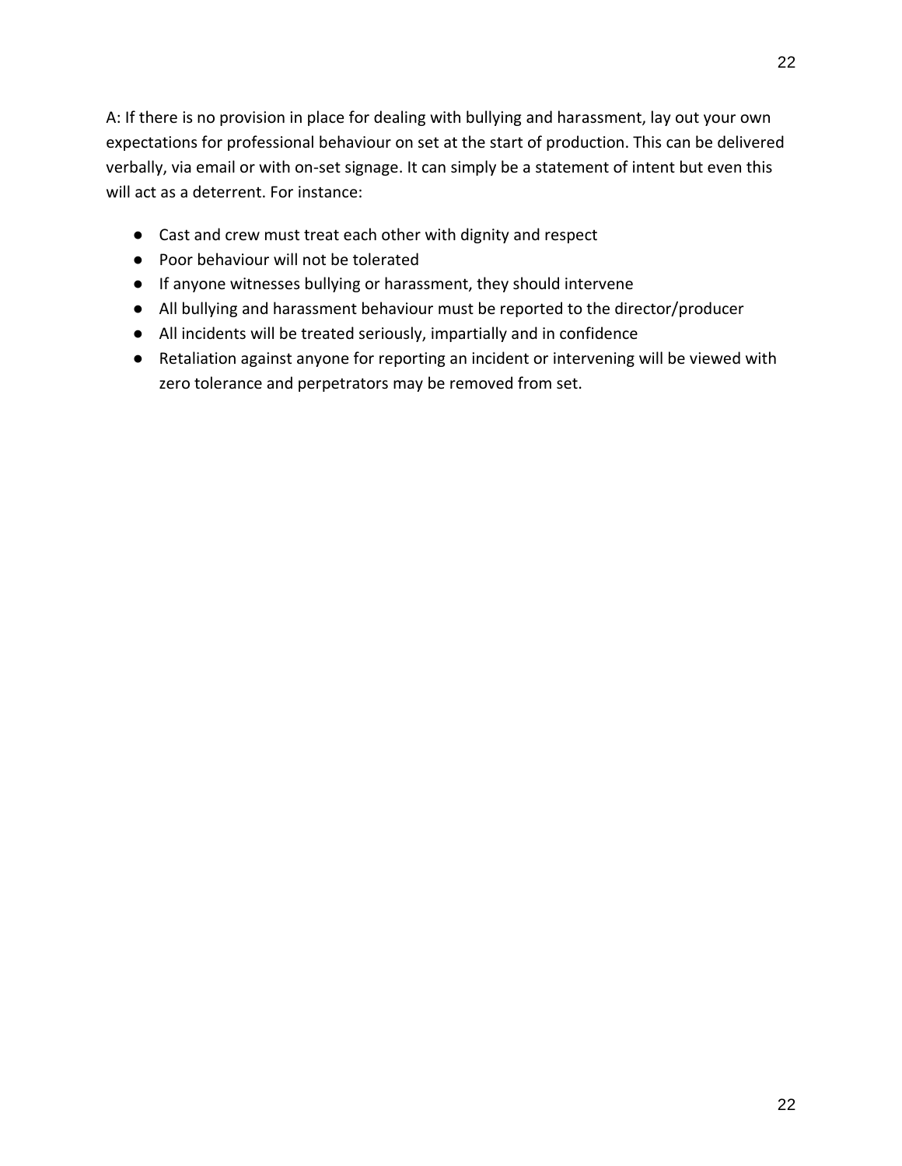22

A: If there is no provision in place for dealing with bullying and harassment, lay out your own expectations for professional behaviour on set at the start of production. This can be delivered verbally, via email or with on-set signage. It can simply be a statement of intent but even this will act as a deterrent. For instance:

- Cast and crew must treat each other with dignity and respect
- Poor behaviour will not be tolerated
- If anyone witnesses bullying or harassment, they should intervene
- All bullying and harassment behaviour must be reported to the director/producer
- All incidents will be treated seriously, impartially and in confidence
- Retaliation against anyone for reporting an incident or intervening will be viewed with zero tolerance and perpetrators may be removed from set.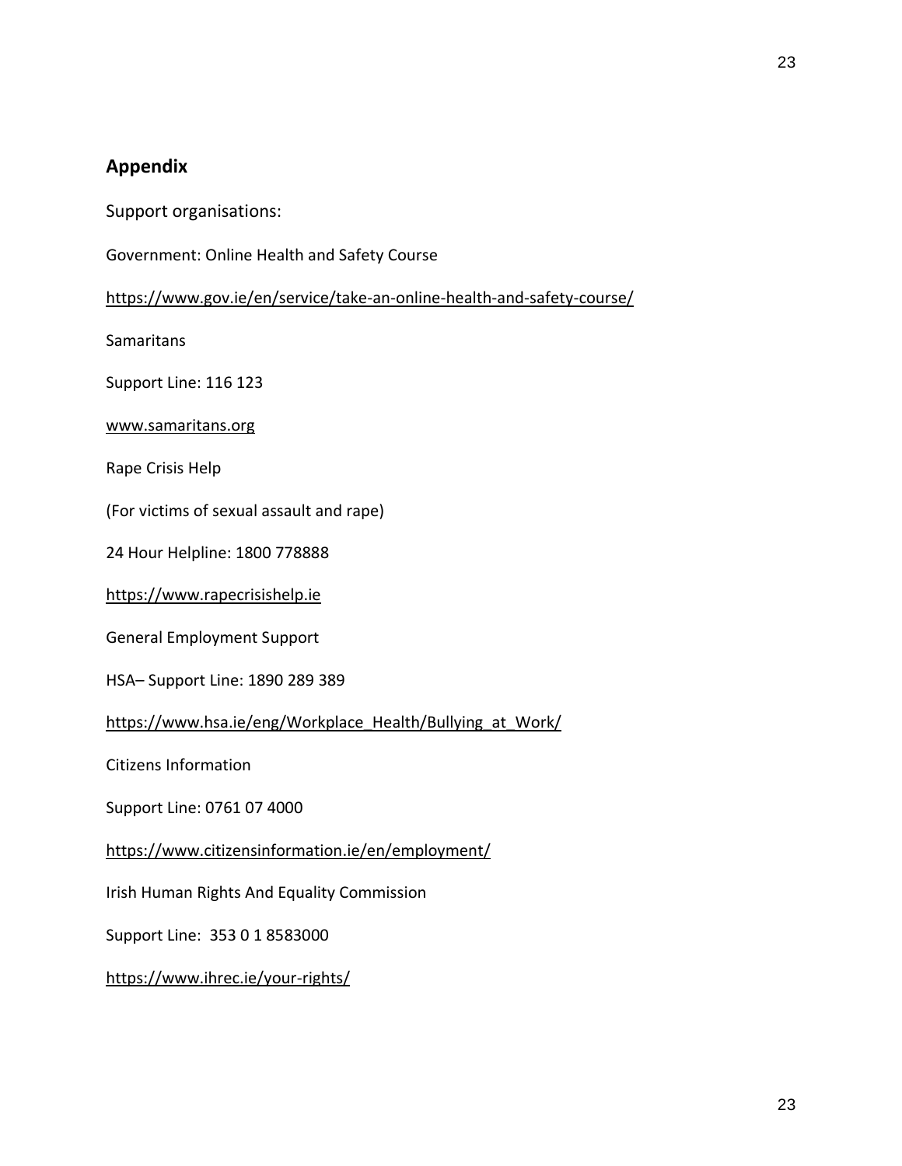# **Appendix**

- Support organisations:
- Government: Online Health and Safety Course

<https://www.gov.ie/en/service/take-an-online-health-and-safety-course/>

**Samaritans** 

Support Line: 116 123

#### [www.samaritans.org](http://www.samaritans.org/)

Rape Crisis Help

(For victims of sexual assault and rape)

24 Hour Helpline: 1800 778888

[https://www.rapecrisishelp.ie](https://www.rapecrisishelp.ie/)

General Employment Support

HSA– Support Line: 1890 289 389

[https://www.hsa.ie/eng/Workplace\\_Health/Bullying\\_at\\_Work/](https://www.hsa.ie/eng/Workplace_Health/Bullying_at_Work/)

Citizens Information

Support Line: 0761 07 4000

<https://www.citizensinformation.ie/en/employment/>

Irish Human Rights And Equality Commission

Support Line: 353 0 1 8583000

<https://www.ihrec.ie/your-rights/>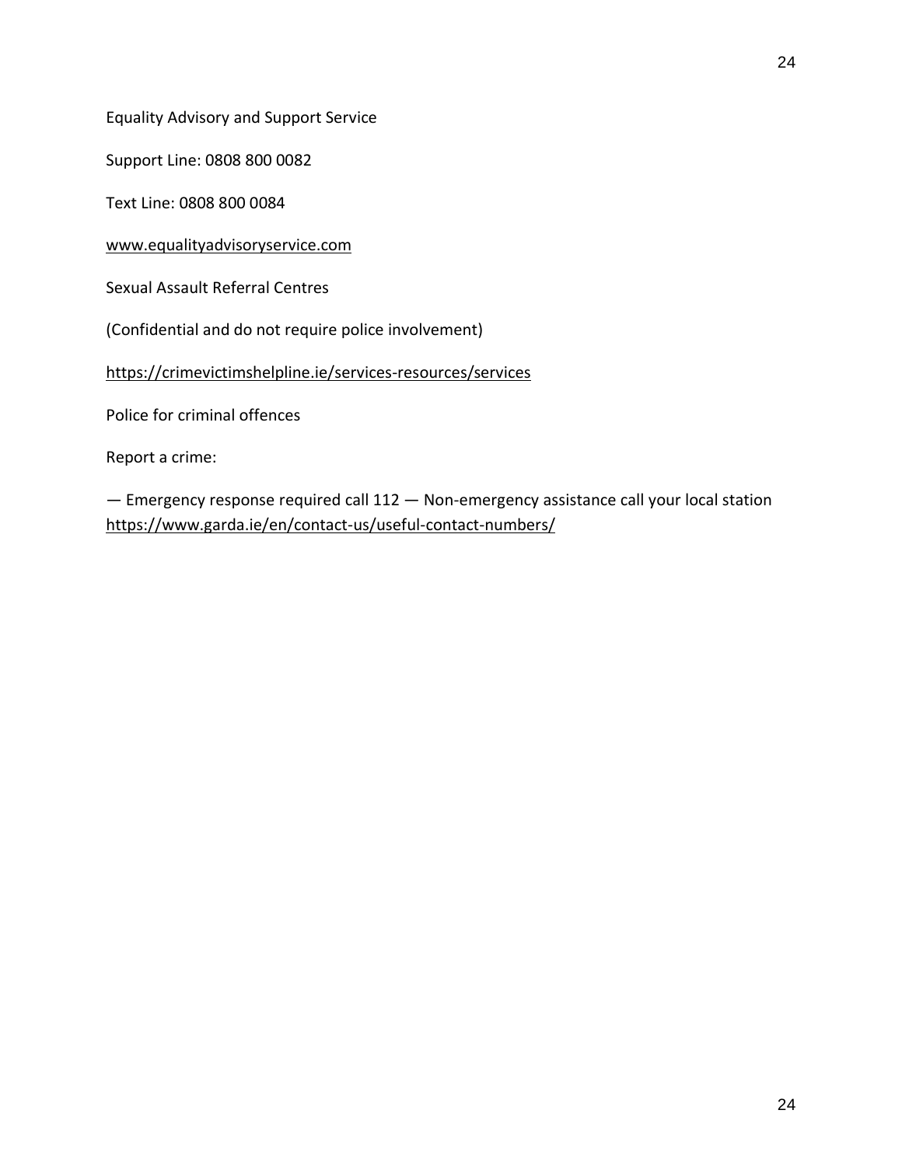Support Line: 0808 800 0082

Text Line: 0808 800 0084

[www.equalityadvisoryservice.com](http://www.equalityadvisoryservice.com/)

Sexual Assault Referral Centres

(Confidential and do not require police involvement)

<https://crimevictimshelpline.ie/services-resources/services>

Police for criminal offences

Report a crime:

— Emergency response required call 112 — Non-emergency assistance call your local station <https://www.garda.ie/en/contact-us/useful-contact-numbers/>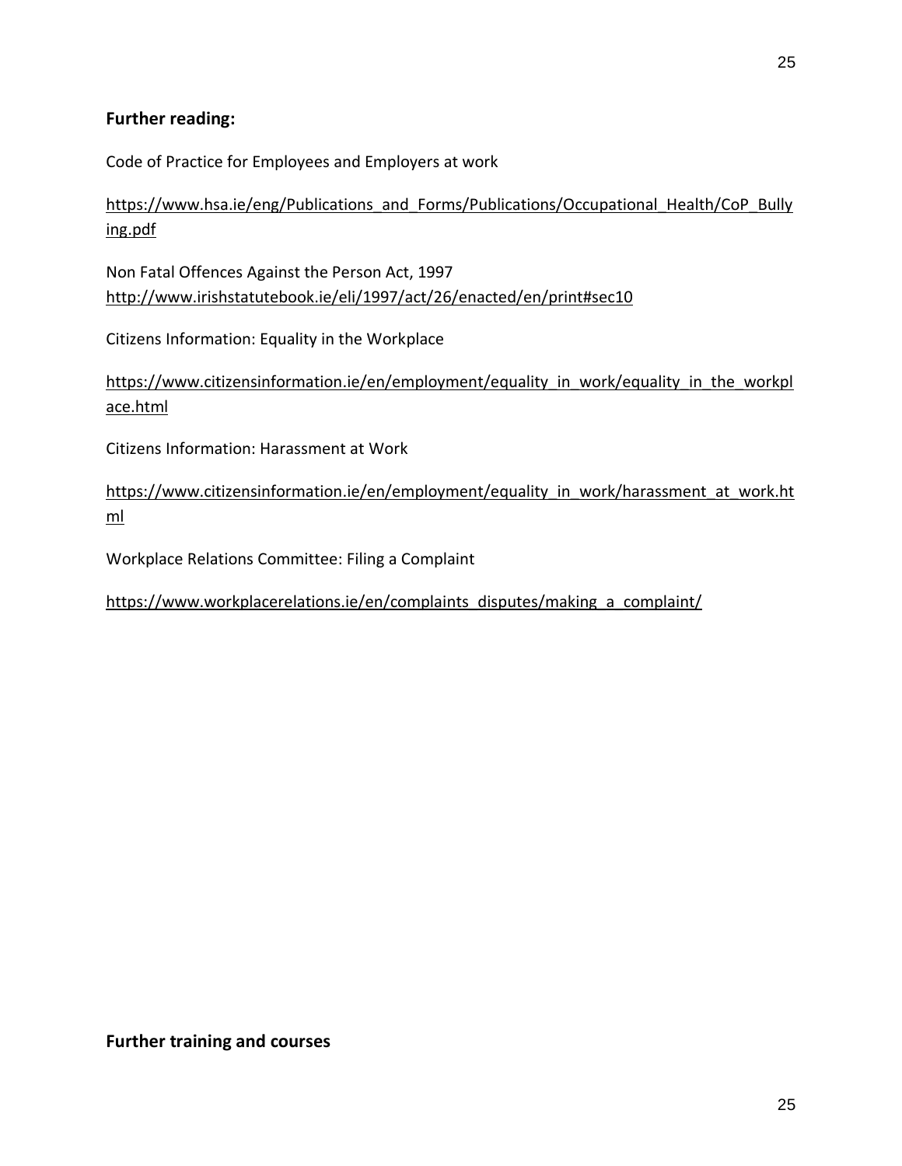## **Further reading:**

Code of Practice for Employees and Employers at work

[https://www.hsa.ie/eng/Publications\\_and\\_Forms/Publications/Occupational\\_Health/CoP\\_Bully](https://www.hsa.ie/eng/Publications_and_Forms/Publications/Occupational_Health/CoP_Bullying.pdf) [ing.pdf](https://www.hsa.ie/eng/Publications_and_Forms/Publications/Occupational_Health/CoP_Bullying.pdf)

Non Fatal Offences Against the Person Act, 1997 <http://www.irishstatutebook.ie/eli/1997/act/26/enacted/en/print#sec10>

Citizens Information: Equality in the Workplace

https://www.citizensinformation.ie/en/employment/equality in work/equality in the workpl [ace.html](https://www.citizensinformation.ie/en/employment/equality_in_work/equality_in_the_workplace.html)

Citizens Information: Harassment at Work

[https://www.citizensinformation.ie/en/employment/equality\\_in\\_work/harassment\\_at\\_work.ht](https://www.citizensinformation.ie/en/employment/equality_in_work/harassment_at_work.html) [ml](https://www.citizensinformation.ie/en/employment/equality_in_work/harassment_at_work.html)

Workplace Relations Committee: Filing a Complaint

[https://www.workplacerelations.ie/en/complaints\\_disputes/making\\_a\\_complaint/](https://www.workplacerelations.ie/en/complaints_disputes/making_a_complaint/)